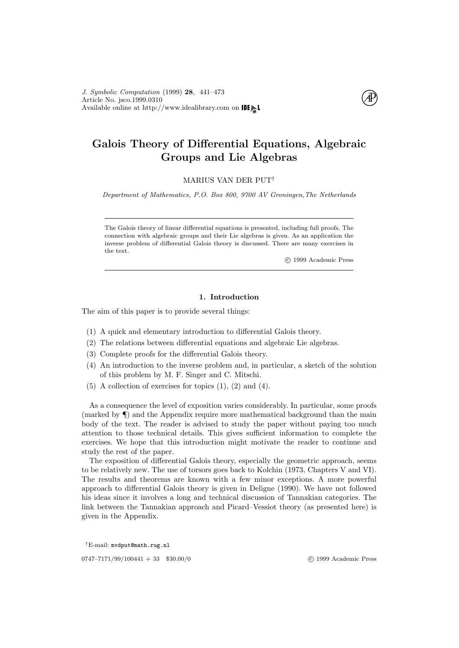

# Galois Theory of Differential Equations, Algebraic Groups and Lie Algebras

MARIUS VAN DER PUT†

Department of Mathematics, P.O. Box 800, 9700 AV Groningen,The Netherlands

The Galois theory of linear differential equations is presented, including full proofs. The connection with algebraic groups and their Lie algebras is given. As an application the inverse problem of differential Galois theory is discussed. There are many exercises in the text.

c 1999 Academic Press

# 1. Introduction

The aim of this paper is to provide several things:

- <span id="page-0-0"></span>(1) A quick and elementary introduction to differential Galois theory.
- <span id="page-0-1"></span>(2) The relations between differential equations and algebraic Lie algebras.
- (3) Complete proofs for the differential Galois theory.
- <span id="page-0-2"></span>(4) An introduction to the inverse problem and, in particular, a sketch of the solution of this problem by M. F. Singer and C. Mitschi.
- $(5)$  A collection of exercises for topics  $(1)$ ,  $(2)$  and  $(4)$ .

As a consequence the level of exposition varies considerably. In particular, some proofs (marked by ¶) and the Appendix require more mathematical background than the main body of the text. The reader is advised to study the paper without paying too much attention to those technical details. This gives sufficient information to complete the exercises. We hope that this introduction might motivate the reader to continue and study the rest of the paper.

The exposition of differential Galois theory, especially the geometric approach, seems to be relatively new. The use of torsors goes back to [Kolchin \(1973](#page-32-0), Chapters V and VI). The results and theorems are known with a few minor exceptions. A more powerful approach to differential Galois theory is given in [Deligne \(1990\)](#page-32-1). We have not followed his ideas since it involves a long and technical discussion of Tannakian categories. The link between the Tannakian approach and Picard–Vessiot theory (as presented here) is given in the Appendix.

†E-mail: mvdput@math.rug.nl

0747–7171/99/100441 + 33 \$30.00/0 (c) 1999 Academic Press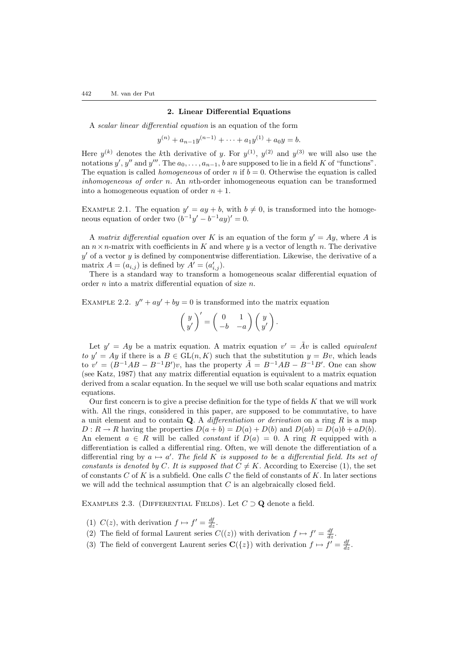#### 2. Linear Differential Equations

<span id="page-1-2"></span>A scalar linear differential equation is an equation of the form

$$
y^{(n)} + a_{n-1}y^{(n-1)} + \dots + a_1y^{(1)} + a_0y = b.
$$

Here  $y^{(k)}$  denotes the k<sup>th</sup> derivative of y. For  $y^{(1)}$ ,  $y^{(2)}$  and  $y^{(3)}$  we will also use the notations y', y'' and y'''. The  $a_0, \ldots, a_{n-1}, b$  are supposed to lie in a field K of "functions". The equation is called *homogeneous* of order n if  $b = 0$ . Otherwise the equation is called inhomogeneous of order n. An nth-order inhomogeneous equation can be transformed into a homogeneous equation of order  $n + 1$ .

EXAMPLE 2.1. The equation  $y' = ay + b$ , with  $b \neq 0$ , is transformed into the homogeneous equation of order two  $(b^{-1}y' - b^{-1}ay)' = 0$ .

A matrix differential equation over K is an equation of the form  $y' = Ay$ , where A is an  $n \times n$ -matrix with coefficients in K and where y is a vector of length n. The derivative  $y'$  of a vector y is defined by componentwise differentiation. Likewise, the derivative of a matrix  $A = (a_{i,j})$  is defined by  $A' = (a'_{i,j}).$ 

There is a standard way to transform a homogeneous scalar differential equation of order  $n$  into a matrix differential equation of size  $n$ .

EXAMPLE 2.2.  $y'' + ay' + by = 0$  is transformed into the matrix equation

$$
\left(\begin{array}{c} y \\ y' \end{array}\right)'=\left(\begin{array}{cc} 0 & 1 \\ -b & -a \end{array}\right)\left(\begin{array}{c} y \\ y' \end{array}\right).
$$

Let  $y' = Ay$  be a matrix equation. A matrix equation  $v' = Av$  is called *equivalent* to  $y' = Ay$  if there is a  $B \in GL(n, K)$  such that the substitution  $y = Bv$ , which leads to  $v' = (B^{-1}AB - B^{-1}B')v$ , has the property  $\tilde{A} = B^{-1}AB - B^{-1}B'$ . One can show (see [Katz, 1987](#page-32-2)) that any matrix differential equation is equivalent to a matrix equation derived from a scalar equation. In the sequel we will use both scalar equations and matrix equations.

Our first concern is to give a precise definition for the type of fields  $K$  that we will work with. All the rings, considered in this paper, are supposed to be commutative, to have a unit element and to contain  $Q$ . A differentiation or derivation on a ring  $R$  is a map  $D: R \to R$  having the properties  $D(a + b) = D(a) + D(b)$  and  $D(ab) = D(a)b + aD(b)$ . An element  $a \in R$  will be called *constant* if  $D(a) = 0$ . A ring R equipped with a differentiation is called a differential ring. Often, we will denote the differentiation of a differential ring by  $a \mapsto a'$ . The field K is supposed to be a differential field. Its set of constants is denoted by C. It is supposed that  $C \neq K$ . According to Exercise [\(1\)](#page-3-0), the set of constants  $C$  of  $K$  is a subfield. One calls  $C$  the field of constants of  $K$ . In later sections we will add the technical assumption that  $C$  is an algebraically closed field.

EXAMPLES 2.3. (DIFFERENTIAL FIELDS). Let  $C \supset \mathbf{Q}$  denote a field.

<span id="page-1-0"></span>(1)  $C(z)$ , with derivation  $f \mapsto f' = \frac{df}{dz}$ .

- <span id="page-1-1"></span>(2) The field of formal Laurent series  $C((z))$  with derivation  $f \mapsto f' = \frac{df}{dz}$ .
- (3) The field of convergent Laurent series  $\mathbf{C}(\{z\})$  with derivation  $f \mapsto f' = \frac{df}{dz}$ .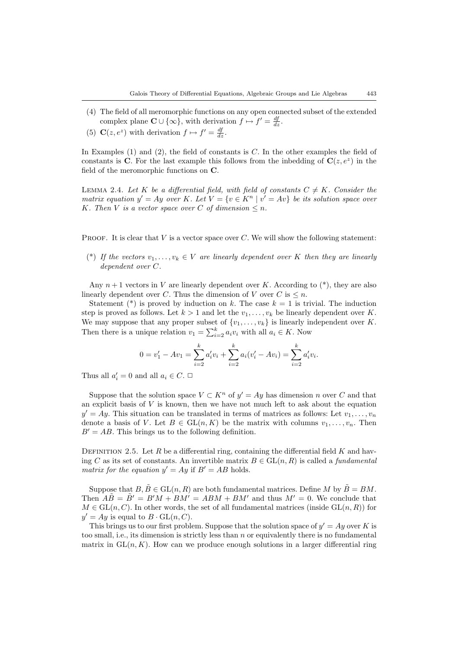- (4) The field of all meromorphic functions on any open connected subset of the extended complex plane  $\mathbf{C} \cup \{\infty\}$ , with derivation  $f \mapsto f' = \frac{df}{dz}$ .
- (5)  $\mathbf{C}(z, e^z)$  with derivation  $f \mapsto f' = \frac{df}{dz}$ .

In Examples  $(1)$  and  $(2)$ , the field of constants is C. In the other examples the field of constants is C. For the last example this follows from the inbedding of  $C(z, e^z)$  in the field of the meromorphic functions on C.

LEMMA 2.4. Let K be a differential field, with field of constants  $C \neq K$ . Consider the matrix equation  $y' = Ay$  over K. Let  $V = \{v \in K^n \mid v' = Av\}$  be its solution space over K. Then V is a vector space over C of dimension  $\leq n$ .

PROOF. It is clear that V is a vector space over C. We will show the following statement:

(\*) If the vectors  $v_1, \ldots, v_k \in V$  are linearly dependent over K then they are linearly dependent over C.

Any  $n+1$  vectors in V are linearly dependent over K. According to  $(*)$ , they are also linearly dependent over C. Thus the dimension of V over C is  $\leq n$ .

Statement (\*) is proved by induction on k. The case  $k = 1$  is trivial. The induction step is proved as follows. Let  $k > 1$  and let the  $v_1, \ldots, v_k$  be linearly dependent over K. We may suppose that any proper subset of  $\{v_1, \ldots, v_k\}$  is linearly independent over K. Then there is a unique relation  $v_1 = \sum_{i=2}^{k} a_i v_i$  with all  $a_i \in K$ . Now

$$
0 = v'_1 - Av_1 = \sum_{i=2}^k a'_i v_i + \sum_{i=2}^k a_i (v'_i - Av_i) = \sum_{i=2}^k a'_i v_i.
$$

Thus all  $a'_i = 0$  and all  $a_i \in C$ .  $\Box$ 

Suppose that the solution space  $V \subset K^n$  of  $y' = Ay$  has dimension n over C and that an explicit basis of  $V$  is known, then we have not much left to ask about the equation  $y' = Ay$ . This situation can be translated in terms of matrices as follows: Let  $v_1, \ldots, v_n$ denote a basis of V. Let  $B \in GL(n, K)$  be the matrix with columns  $v_1, \ldots, v_n$ . Then  $B' = AB$ . This brings us to the following definition.

DEFINITION 2.5. Let R be a differential ring, containing the differential field K and having C as its set of constants. An invertible matrix  $B \in GL(n, R)$  is called a *fundamental* matrix for the equation  $y' = Ay$  if  $B' = AB$  holds.

Suppose that  $B, \tilde{B} \in GL(n, R)$  are both fundamental matrices. Define M by  $\tilde{B} = BM$ . Then  $\overrightarrow{AB} = \overrightarrow{B}' = B'M + BM' = ABM + BM'$  and thus  $M' = 0$ . We conclude that  $M \in GL(n, C)$ . In other words, the set of all fundamental matrices (inside  $GL(n, R)$ ) for  $y' = Ay$  is equal to  $B \cdot GL(n, C)$ .

This brings us to our first problem. Suppose that the solution space of  $y' = Ay$  over K is too small, i.e., its dimension is strictly less than  $n$  or equivalently there is no fundamental matrix in  $GL(n, K)$ . How can we produce enough solutions in a larger differential ring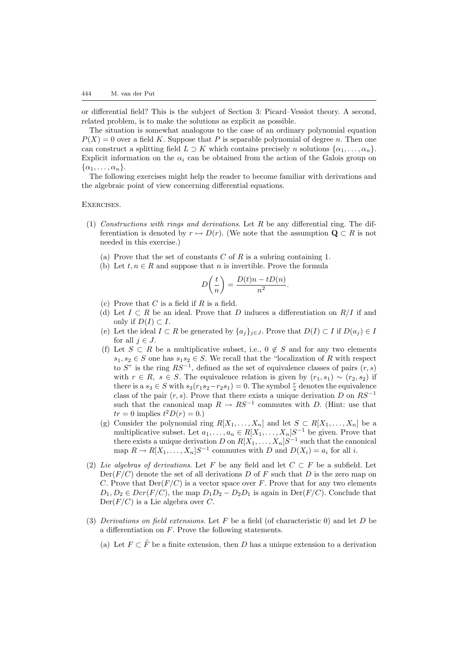or differential field? This is the subject of Section [3:](#page-6-0) Picard–Vessiot theory. A second, related problem, is to make the solutions as explicit as possible.

The situation is somewhat analogous to the case of an ordinary polynomial equation  $P(X) = 0$  over a field K. Suppose that P is separable polynomial of degree n. Then one can construct a splitting field  $L \supset K$  which contains precisely n solutions  $\{\alpha_1, \ldots, \alpha_n\}$ . Explicit information on the  $\alpha_i$  can be obtained from the action of the Galois group on  $\{\alpha_1, \ldots, \alpha_n\}.$ 

The following exercises might help the reader to become familiar with derivations and the algebraic point of view concerning differential equations.

Exercises.

- <span id="page-3-0"></span>(1) Constructions with rings and derivations. Let  $R$  be any differential ring. The differentiation is denoted by  $r \mapsto D(r)$ . (We note that the assumption  $\mathbf{Q} \subset R$  is not needed in this exercise.)
	- (a) Prove that the set of constants  $C$  of  $R$  is a subring containing 1.
	- (b) Let  $t, n \in R$  and suppose that n is invertible. Prove the formula

$$
D\left(\frac{t}{n}\right) = \frac{D(t)n - tD(n)}{n^2}.
$$

- (c) Prove that  $C$  is a field if  $R$  is a field.
- (d) Let  $I \subset R$  be an ideal. Prove that D induces a differentiation on  $R/I$  if and only if  $D(I) \subset I$ .
- (e) Let the ideal  $I \subset R$  be generated by  $\{a_j\}_{j \in J}$ . Prove that  $D(I) \subset I$  if  $D(a_j) \in I$ for all  $j \in J$ .
- (f) Let  $S \subset R$  be a multiplicative subset, i.e.,  $0 \notin S$  and for any two elements  $s_1, s_2 \in S$  one has  $s_1 s_2 \in S$ . We recall that the "localization of R with respect to S" is the ring  $RS^{-1}$ , defined as the set of equivalence classes of pairs  $(r, s)$ with  $r \in R$ ,  $s \in S$ . The equivalence relation is given by  $(r_1, s_1) \sim (r_2, s_2)$  if there is a  $s_3 \in S$  with  $s_3(r_1s_2-r_2s_1)=0$ . The symbol  $\frac{r}{s}$  denotes the equivalence class of the pair  $(r, s)$ . Prove that there exists a unique derivation D on RS<sup>-1</sup> such that the canonical map  $R \to RS^{-1}$  commutes with D. (Hint: use that  $tr = 0$  implies  $t^2 D(r) = 0.$ )
- (g) Consider the polynomial ring  $R[X_1, \ldots, X_n]$  and let  $S \subset R[X_1, \ldots, X_n]$  be a multiplicative subset. Let  $a_1, \ldots, a_n \in R[X_1, \ldots, X_n]S^{-1}$  be given. Prove that there exists a unique derivation D on  $R[X_1, \ldots, X_n]S^{-1}$  such that the canonical map  $R \to R[X_1, \ldots, X_n]S^{-1}$  commutes with D and  $D(X_i) = a_i$  for all i.
- (2) Lie algebras of derivations. Let F be any field and let  $C \subset F$  be a subfield. Let  $Der(F/C)$  denote the set of all derivations D of F such that D is the zero map on C. Prove that  $Der(F/C)$  is a vector space over F. Prove that for any two elements  $D_1, D_2 \in Der(F/C)$ , the map  $D_1D_2 - D_2D_1$  is again in  $Der(F/C)$ . Conclude that  $Der(F/C)$  is a Lie algebra over C.
- (3) Derivations on field extensions. Let F be a field (of characteristic 0) and let D be a differentiation on F. Prove the following statements.
	- (a) Let  $F \subset \tilde{F}$  be a finite extension, then D has a unique extension to a derivation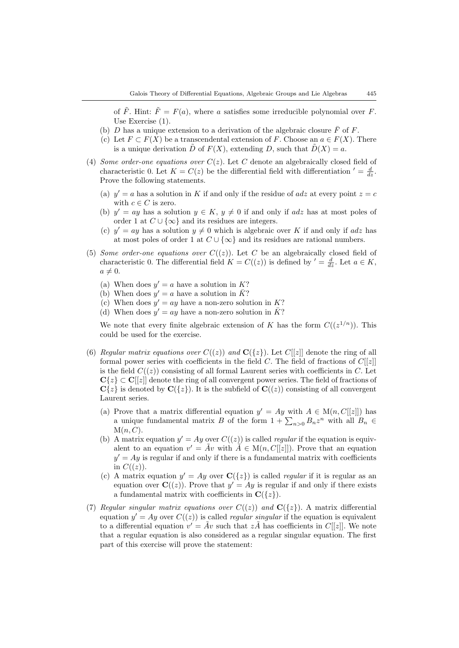of  $\tilde{F}$ . Hint:  $\tilde{F} = F(a)$ , where a satisfies some irreducible polynomial over F. Use Exercise [\(1\).](#page-3-0)

- (b) D has a unique extension to a derivation of the algebraic closure  $\bar{F}$  of F.
- (c) Let  $F \subset F(X)$  be a transcendental extension of F. Choose an  $a \in F(X)$ . There is a unique derivation  $\tilde{D}$  of  $F(X)$ , extending D, such that  $\tilde{D}(X) = a$ .
- (4) Some order-one equations over  $C(z)$ . Let C denote an algebraically closed field of characteristic 0. Let  $K = C(z)$  be the differential field with differentiation  $\ell = \frac{d}{dz}$ . Prove the following statements.
	- (a)  $y' = a$  has a solution in K if and only if the residue of adz at every point  $z = c$ with  $c \in C$  is zero.
	- (b)  $y' = ay$  has a solution  $y \in K$ ,  $y \neq 0$  if and only if adz has at most poles of order 1 at  $C \cup \{\infty\}$  and its residues are integers.
	- (c)  $y' = ay$  has a solution  $y \neq 0$  which is algebraic over K if and only if adz has at most poles of order 1 at  $C \cup \{\infty\}$  and its residues are rational numbers.
- (5) Some order-one equations over  $C((z))$ . Let C be an algebraically closed field of characteristic 0. The differential field  $K = C((z))$  is defined by  $\prime = \frac{d}{dz}$ . Let  $a \in K$ ,  $a \neq 0.$ 
	- (a) When does  $y' = a$  have a solution in K?
	- (b) When does  $y' = a$  have a solution in  $\overline{K}$ ?
	- (c) When does  $y' = ay$  have a non-zero solution in K?
	- (d) When does  $y' = ay$  have a non-zero solution in  $\overline{K}$ ?

We note that every finite algebraic extension of K has the form  $C((z^{1/n}))$ . This could be used for the exercise.

- <span id="page-4-1"></span>(6) Regular matrix equations over  $C((z))$  and  $\mathbf{C}(\{z\})$ . Let  $C[[z]]$  denote the ring of all formal power series with coefficients in the field C. The field of fractions of  $C[[z]]$ is the field  $C((z))$  consisting of all formal Laurent series with coefficients in C. Let  $C\{z\} \subset C[[z]]$  denote the ring of all convergent power series. The field of fractions of  $C\{z\}$  is denoted by  $C(\{z\})$ . It is the subfield of  $C((z))$  consisting of all convergent Laurent series.
	- (a) Prove that a matrix differential equation  $y' = Ay$  with  $A \in M(n, C[[z]])$  has a unique fundamental matrix B of the form  $1 + \sum_{n>0} B_n z^n$  with all  $B_n \in$  $M(n, C)$ .
	- (b) A matrix equation  $y' = Ay$  over  $C((z))$  is called *regular* if the equation is equivalent to an equation  $v' = Av$  with  $\tilde{A} \in M(n, C[[z]])$ . Prove that an equation  $y' = Ay$  is regular if and only if there is a fundamental matrix with coefficients in  $C((z))$ .
	- (c) A matrix equation  $y' = Ay$  over  $C({z})$  is called *regular* if it is regular as an equation over  $\mathbf{C}((z))$ . Prove that  $y' = Ay$  is regular if and only if there exists a fundamental matrix with coefficients in  $\mathbf{C}({z})$ .
- <span id="page-4-0"></span>(7) Regular singular matrix equations over  $C((z))$  and  $C({z})$ ). A matrix differential equation  $y' = Ay$  over  $C((z))$  is called *regular singular* if the equation is equivalent to a differential equation  $v' = Av$  such that  $z\tilde{A}$  has coefficients in  $C[[z]]$ . We note that a regular equation is also considered as a regular singular equation. The first part of this exercise will prove the statement: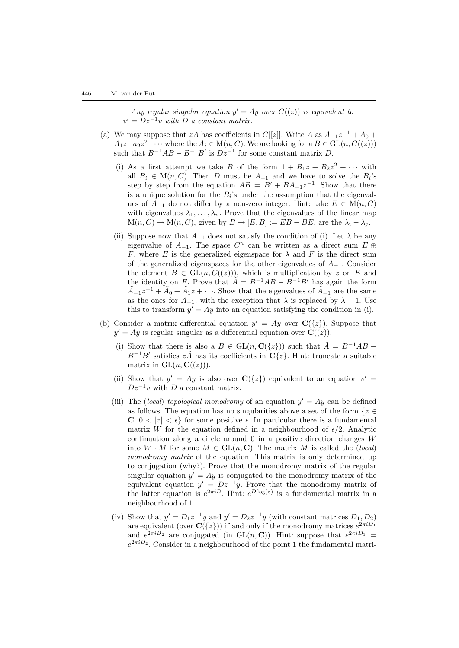Any regular singular equation  $y' = Ay$  over  $C((z))$  is equivalent to  $v' = Dz^{-1}v$  with D a constant matrix.

- (a) We may suppose that zA has coefficients in C[[z]]. Write A as  $A_{-1}z^{-1} + A_0 +$  $A_1z+a_2z^2+\cdots$  where the  $A_i\in M(n, C)$ . We are looking for a  $B\in GL(n, C((z)))$ such that  $B^{-1}AB - B^{-1}B'$  is  $Dz^{-1}$  for some constant matrix D.
	- (i) As a first attempt we take B of the form  $1 + B_1z + B_2z^2 + \cdots$  with all  $B_i \in M(n, C)$ . Then D must be  $A_{-1}$  and we have to solve the  $B_i$ 's step by step from the equation  $AB = B' + BA_{-1}z^{-1}$ . Show that there is a unique solution for the  $B_i$ 's under the assumption that the eigenvalues of  $A_{-1}$  do not differ by a non-zero integer. Hint: take  $E \in M(n, C)$ with eigenvalues  $\lambda_1, \ldots, \lambda_n$ . Prove that the eigenvalues of the linear map  $M(n, C) \to M(n, C)$ , given by  $B \mapsto [E, B] := EB - BE$ , are the  $\lambda_i - \lambda_j$ .
	- (ii) Suppose now that  $A_{-1}$  does not satisfy the condition of (i). Let  $\lambda$  be any eigenvalue of  $A_{-1}$ . The space  $C<sup>n</sup>$  can be written as a direct sum  $E \oplus$ F, where E is the generalized eigenspace for  $\lambda$  and F is the direct sum of the generalized eigenspaces for the other eigenvalues of  $A_{-1}$ . Consider the element  $B \in GL(n, C((z)))$ , which is multiplication by z on E and the identity on F. Prove that  $\tilde{A} = B^{-1}AB - B^{-1}B'$  has again the form  $\tilde{A}_{-1}z^{-1} + \tilde{A}_0 + \tilde{A}_1z + \cdots$ . Show that the eigenvalues of  $\tilde{A}_{-1}$  are the same as the ones for  $A_{-1}$ , with the exception that  $\lambda$  is replaced by  $\lambda - 1$ . Use this to transform  $y' = Ay$  into an equation satisfying the condition in (i).
- (b) Consider a matrix differential equation  $y' = Ay$  over  $C({z})$ . Suppose that  $y' = Ay$  is regular singular as a differential equation over  $\mathbf{C}((z))$ .
	- (i) Show that there is also a  $B \in GL(n, \mathbf{C}(\{z\}))$  such that  $\tilde{A} = B^{-1}AB B^{-1}B'$  satisfies  $z\tilde{A}$  has its coefficients in  $\mathbf{C}\lbrace z\rbrace$ . Hint: truncate a suitable matrix in  $GL(n, \mathbf{C}(\ell(z)))$ .
	- (ii) Show that  $y' = Ay$  is also over  $C({z})$  equivalent to an equation  $v' =$  $Dz^{-1}v$  with D a constant matrix.
	- (iii) The (local) topological monodromy of an equation  $y' = Ay$  can be defined as follows. The equation has no singularities above a set of the form  $\{z \in \mathbb{R}^n\}$ C|  $0 < |z| < \epsilon$ } for some positive  $\epsilon$ . In particular there is a fundamental matrix W for the equation defined in a neighbourhood of  $\epsilon/2$ . Analytic continuation along a circle around  $0$  in a positive direction changes  $W$ into  $W \cdot M$  for some  $M \in GL(n, \mathbb{C})$ . The matrix M is called the (local) monodromy matrix of the equation. This matrix is only determined up to conjugation (why?). Prove that the monodromy matrix of the regular singular equation  $y' = Ay$  is conjugated to the monodromy matrix of the equivalent equation  $y' = Dz^{-1}y$ . Prove that the monodromy matrix of the latter equation is  $e^{2\pi i D}$ . Hint:  $e^{D \log(z)}$  is a fundamental matrix in a neighbourhood of 1.
	- (iv) Show that  $y' = D_1 z^{-1} y$  and  $y' = D_2 z^{-1} y$  (with constant matrices  $D_1, D_2$ ) are equivalent (over  $\mathbf{C}({z})$ ) if and only if the monodromy matrices  $e^{2\pi i D_1}$ and  $e^{2\pi i D_2}$  are conjugated (in GL(n, C)). Hint: suppose that  $e^{2\pi i D_1}$  =  $e^{2\pi i D_2}$ . Consider in a neighbourhood of the point 1 the fundamental matri-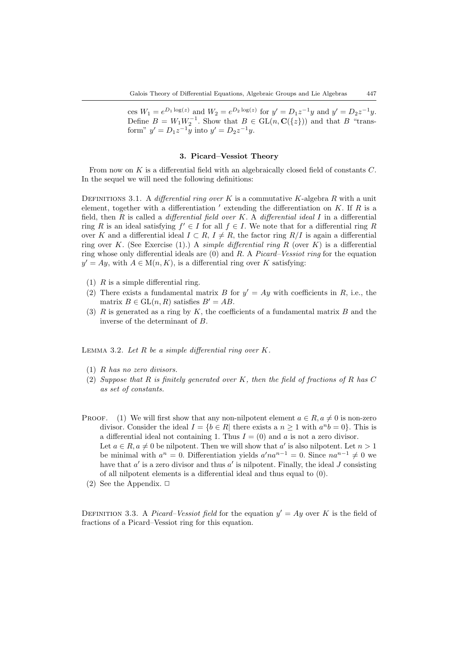ces  $W_1 = e^{D_1 \log(z)}$  and  $W_2 = e^{D_2 \log(z)}$  for  $y' = D_1 z^{-1} y$  and  $y' = D_2 z^{-1} y$ . Define  $B = W_1 W_2^{-1}$ . Show that  $B \in GL(n, \mathbf{C}(\{z\}))$  and that B "transform"  $y' = D_1 z^{-1} y$  into  $y' = D_2 z^{-1} y$ .

# 3. Picard–Vessiot Theory

<span id="page-6-0"></span>From now on K is a differential field with an algebraically closed field of constants C. In the sequel we will need the following definitions:

DEFINITIONS 3.1. A differential ring over K is a commutative K-algebra R with a unit element, together with a differentiation  $'$  extending the differentiation on  $K$ . If  $R$  is a field, then R is called a *differential field over K*. A *differential ideal* I in a differential ring R is an ideal satisfying  $f' \in I$  for all  $f \in I$ . We note that for a differential ring R over K and a differential ideal  $I \subset R$ ,  $I \neq R$ , the factor ring  $R/I$  is again a differential ring over K. (See Exercise [\(1\)](#page-3-0).) A *simple differential ring R* (over K) is a differential ring whose only differential ideals are  $(0)$  and R. A *Picard–Vessiot ring* for the equation  $y' = Ay$ , with  $A \in M(n, K)$ , is a differential ring over K satisfying:

- (1)  $R$  is a simple differential ring.
- (2) There exists a fundamental matrix B for  $y' = Ay$  with coefficients in R, i.e., the matrix  $B \in GL(n, R)$  satisfies  $B' = AB$ .
- (3)  $R$  is generated as a ring by  $K$ , the coefficients of a fundamental matrix  $B$  and the inverse of the determinant of B.

<span id="page-6-1"></span>LEMMA 3.2. Let  $R$  be a simple differential ring over  $K$ .

- (1) R has no zero divisors.
- (2) Suppose that R is finitely generated over K, then the field of fractions of R has  $C$ as set of constants.
- PROOF. (1) We will first show that any non-nilpotent element  $a \in R$ ,  $a \neq 0$  is non-zero divisor. Consider the ideal  $I = \{b \in R | \text{ there exists a } n \geq 1 \text{ with } a^n b = 0 \}.$  This is a differential ideal not containing 1. Thus  $I = (0)$  and a is not a zero divisor. Let  $a \in R$ ,  $a \neq 0$  be nilpotent. Then we will show that a' is also nilpotent. Let  $n > 1$ be minimal with  $a^n = 0$ . Differentiation yields  $a' n a^{n-1} = 0$ . Since  $n a^{n-1} \neq 0$  we have that  $a'$  is a zero divisor and thus  $a'$  is nilpotent. Finally, the ideal J consisting of all nilpotent elements is a differential ideal and thus equal to (0).
	- (2) See the Appendix.  $\Box$

<span id="page-6-2"></span>DEFINITION 3.3. A *Picard–Vessiot field* for the equation  $y' = Ay$  over K is the field of fractions of a Picard–Vessiot ring for this equation.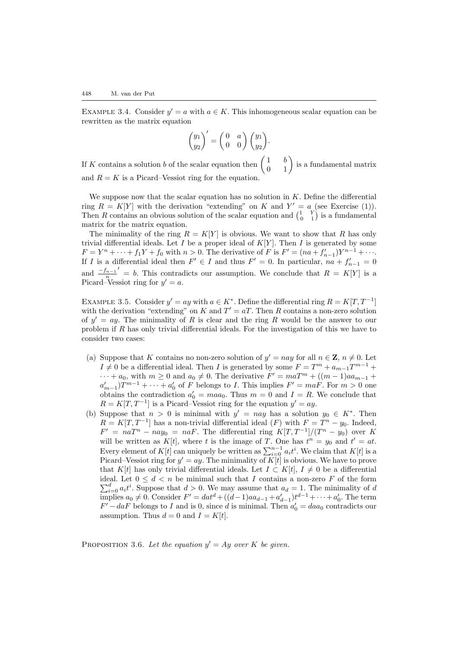EXAMPLE 3.4. Consider  $y' = a$  with  $a \in K$ . This inhomogeneous scalar equation can be rewritten as the matrix equation

$$
\begin{pmatrix} y_1 \\ y_2 \end{pmatrix}' = \begin{pmatrix} 0 & a \\ 0 & 0 \end{pmatrix} \begin{pmatrix} y_1 \\ y_2 \end{pmatrix}.
$$

If K contains a solution b of the scalar equation then  $\begin{pmatrix} 1 & b \\ 0 & 1 \end{pmatrix}$  is a fundamental matrix and  $R = K$  is a Picard–Vessiot ring for the equation.

We suppose now that the scalar equation has no solution in  $K$ . Define the differential ring  $R = K[Y]$  with the derivation "extending" on K and  $Y' = a$  (see Exercise [\(1\)\)](#page-3-0). Then R contains an obvious solution of the scalar equation and  $\begin{pmatrix} 1 & Y \\ 0 & 1 \end{pmatrix}$  is a fundamental matrix for the matrix equation.

The minimality of the ring  $R = K[Y]$  is obvious. We want to show that R has only trivial differential ideals. Let I be a proper ideal of  $K[Y]$ . Then I is generated by some  $F = Y^n + \cdots + f_1 Y + f_0$  with  $n > 0$ . The derivative of F is  $F' = (na + f'_{n-1})Y^{n-1} + \cdots$ . If I is a differential ideal then  $F' \in I$  and thus  $F' = 0$ . In particular,  $na + f'_{n-1} = 0$ and  $\frac{-f_{n-1}}{n}$  $= b$ . This contradicts our assumption. We conclude that  $R = K[Y]$  is a Picard–Vessiot ring for  $y' = a$ .

<span id="page-7-0"></span>EXAMPLE 3.5. Consider  $y' = ay$  with  $a \in K^*$ . Define the differential ring  $R = K[T, T^{-1}]$ with the derivation "extending" on K and  $T' = aT$ . Then R contains a non-zero solution of  $y' = ay$ . The minimality of R is clear and the ring R would be the answer to our problem if  $R$  has only trivial differential ideals. For the investigation of this we have to consider two cases:

- (a) Suppose that K contains no non-zero solution of  $y' = nay$  for all  $n \in \mathbb{Z}$ ,  $n \neq 0$ . Let  $I \neq 0$  be a differential ideal. Then I is generated by some  $F = T^m + a_{m-1}T^{m-1} +$  $\cdots + a_0$ , with  $m \geq 0$  and  $a_0 \neq 0$ . The derivative  $F' = maT^m + ((m-1)aa_{m-1} +$  $a'_{m-1}$ ) $T^{m-1} + \cdots + a'_{0}$  of F belongs to I. This implies  $F' = maF$ . For  $m > 0$  one obtains the contradiction  $a'_0 = ma_0$ . Thus  $m = 0$  and  $I = R$ . We conclude that  $R = K[T, T^{-1}]$  is a Picard–Vessiot ring for the equation  $y' = ay$ .
- (b) Suppose that  $n > 0$  is minimal with  $y' = nay$  has a solution  $y_0 \in K^*$ . Then  $R = K[T, T^{-1}]$  has a non-trivial differential ideal  $(F)$  with  $F = T^{n} - y_{0}$ . Indeed,  $F' = naT^n - nay_0 = naF$ . The differential ring  $K[T, T^{-1}]/(T^n - y_0)$  over K will be written as  $K[t]$ , where t is the image of T. One has  $t^n = y_0$  and  $t' = at$ . Every element of  $K[t]$  can uniquely be written as  $\sum_{i=0}^{n-1} a_i t^i$ . We claim that  $K[t]$  is a Picard–Vessiot ring for  $y' = ay$ . The minimality of  $K[t]$  is obvious. We have to prove that K[t] has only trivial differential ideals. Let  $I \subset K[t]$ ,  $I \neq 0$  be a differential ideal. Let  $0 \leq d \leq n$  be minimal such that I contains a non-zero F of the form  $\sum_{i=0}^{d} a_i t^i$ . Suppose that  $d > 0$ . We may assume that  $a_d = 1$ . The minimality of d implies  $a_0 \neq 0$ . Consider  $F' = dat^d + ((d-1)aa_{d-1} + a'_{d-1})t^{d-1} + \cdots + a'_0$ . The term  $F' - daF$  belongs to I and is 0, since d is minimal. Then  $a'_0 = daa_0$  contradicts our assumption. Thus  $d = 0$  and  $I = K[t]$ .

<span id="page-7-1"></span>PROPOSITION 3.6. Let the equation  $y' = Ay$  over K be given.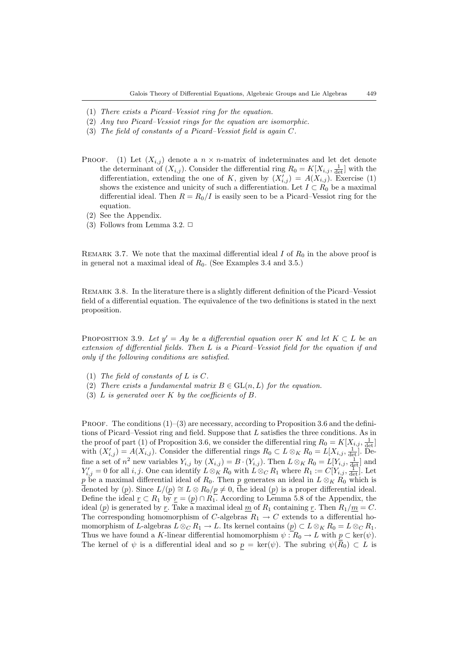- (1) There exists a Picard–Vessiot ring for the equation.
- (2) Any two Picard–Vessiot rings for the equation are isomorphic.
- (3) The field of constants of a Picard–Vessiot field is again C.
- PROOF. (1) Let  $(X_{i,j})$  denote a  $n \times n$ -matrix of indeterminates and let det denote the determinant of  $(X_{i,j})$ . Consider the differential ring  $R_0 = K[X_{i,j}, \frac{1}{\det}]$  with the differentiation, extending the one of K, given by  $(X'_{i,j}) = A(X_{i,j})$ . Exercise [\(1\)](#page-3-0) shows the existence and unicity of such a differentiation. Let  $I \subset R_0$  be a maximal differential ideal. Then  $R = R_0/I$  is easily seen to be a Picard–Vessiot ring for the equation.
	- (2) See the Appendix.
	- (3) Follows from Lemma [3.2.](#page-6-1)  $\Box$

REMARK 3.7. We note that the maximal differential ideal  $I$  of  $R_0$  in the above proof is in general not a maximal ideal of  $R_0$ . (See Examples [3.4](#page-6-2) and [3.5.](#page-7-0))

Remark 3.8. In the literature there is a slightly different definition of the Picard–Vessiot field of a differential equation. The equivalence of the two definitions is stated in the next proposition.

<span id="page-8-0"></span>PROPOSITION 3.9. Let  $y' = Ay$  be a differential equation over K and let  $K \subset L$  be an extension of differential fields. Then L is a Picard–Vessiot field for the equation if and only if the following conditions are satisfied.

- (1) The field of constants of L is  $C$ .
- (2) There exists a fundamental matrix  $B \in GL(n, L)$  for the equation.
- (3) L is generated over K by the coefficients of B.

PROOF. The conditions  $(1)$ – $(3)$  are necessary, according to Proposition [3.6](#page-7-1) and the definitions of Picard–Vessiot ring and field. Suppose that L satisfies the three conditions. As in the proof of part (1) of Proposition [3.6](#page-7-1), we consider the differential ring  $R_0 = K[X_{i,j}, \frac{1}{\det}]$ with  $(X'_{i,j}) = A(X_{i,j})$ . Consider the differential rings  $R_0 \subset L \otimes_K R_0 = L[X_{i,j}, \frac{1}{\det}]$ . Define a set of  $n^2$  new variables  $Y_{i,j}$  by  $(X_{i,j}) = B \cdot (Y_{i,j})$ . Then  $L \otimes_K R_0 = L[Y_{i,j}, \frac{1}{\det}]$  and  $Y'_{i,j} = 0$  for all i, j. One can identify  $L \otimes_K R_0$  with  $L \otimes_C R_1$  where  $R_1 := C[Y_{i,j}, \frac{1}{\det}]$ . Let p be a maximal differential ideal of  $R_0$ . Then p generates an ideal in  $L \otimes_K R_0$  which is denoted by (p). Since  $L/(p) \cong L \otimes R_0/p \neq 0$ , the ideal (p) is a proper differential ideal. Define the ideal  $\underline{r} \subset R_1$  by  $\underline{r} = (p) \cap R_1$ . According to Lemma [5.8](#page-25-0) of the Appendix, the ideal (p) is generated by r. Take a maximal ideal  $\underline{m}$  of  $R_1$  containing r. Then  $R_1/\underline{m} = C$ . The corresponding homomorphism of C-algebras  $R_1 \rightarrow C$  extends to a differential homomorphism of L-algebras  $L \otimes_C R_1 \to L$ . Its kernel contains  $(p) \subset L \otimes_K R_0 = L \otimes_C R_1$ . Thus we have found a K-linear differential homomorphism  $\psi : R_0 \to L$  with  $p \subset \text{ker}(\psi)$ . The kernel of  $\psi$  is a differential ideal and so  $p = \text{ker}(\psi)$ . The subring  $\psi(\overline{R}_0) \subset L$  is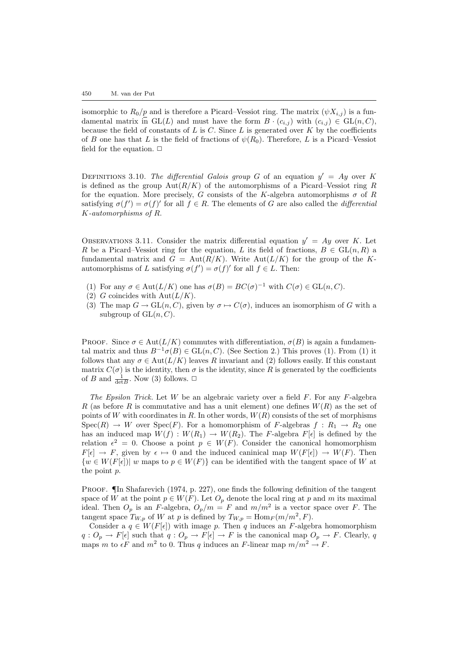isomorphic to  $R_0/p$  and is therefore a Picard–Vessiot ring. The matrix  $(\psi X_{i,j})$  is a fundamental matrix in  $GL(L)$  and must have the form  $B \cdot (c_{i,j})$  with  $(c_{i,j}) \in GL(n, C)$ , because the field of constants of  $L$  is  $C$ . Since  $L$  is generated over  $K$  by the coefficients of B one has that L is the field of fractions of  $\psi(R_0)$ . Therefore, L is a Picard–Vessiot field for the equation.  $\Box$ 

DEFINITIONS 3.10. The differential Galois group G of an equation  $y' = Ay$  over K is defined as the group  $Aut(R/K)$  of the automorphisms of a Picard–Vessiot ring R for the equation. More precisely, G consists of the K-algebra automorphisms  $\sigma$  of R satisfying  $\sigma(f') = \sigma(f)'$  for all  $f \in R$ . The elements of G are also called the *differential* K-automorphisms of R.

OBSERVATIONS 3.11. Consider the matrix differential equation  $y' = Ay$  over K. Let R be a Picard–Vessiot ring for the equation, L its field of fractions,  $B \in GL(n, R)$  a fundamental matrix and  $G = Aut(R/K)$ . Write  $Aut(L/K)$  for the group of the Kautomorphisms of L satisfying  $\sigma(f') = \sigma(f)'$  for all  $f \in L$ . Then:

- (1) For any  $\sigma \in \text{Aut}(L/K)$  one has  $\sigma(B) = BC(\sigma)^{-1}$  with  $C(\sigma) \in \text{GL}(n, C)$ .
- (2) G coincides with  $\mathrm{Aut}(L/K)$ .
- (3) The map  $G \to GL(n, C)$ , given by  $\sigma \mapsto C(\sigma)$ , induces an isomorphism of G with a subgroup of  $GL(n, C)$ .

PROOF. Since  $\sigma \in \text{Aut}(L/K)$  commutes with differentiation,  $\sigma(B)$  is again a fundamental matrix and thus  $B^{-1}\sigma(B) \in GL(n, C)$ . (See Section [2](#page-1-2).) This proves (1). From (1) it follows that any  $\sigma \in \text{Aut}(L/K)$  leaves R invariant and (2) follows easily. If this constant matrix  $C(\sigma)$  is the identity, then  $\sigma$  is the identity, since R is generated by the coefficients of B and  $\frac{1}{\det B}$ . Now (3) follows.  $\Box$ 

The Epsilon Trick. Let W be an algebraic variety over a field  $F$ . For any  $F$ -algebra R (as before R is commutative and has a unit element) one defines  $W(R)$  as the set of points of W with coordinates in R. In other words,  $W(R)$  consists of the set of morphisms  $Spec(R) \rightarrow W$  over  $Spec(F)$ . For a homomorphism of F-algebras  $f: R_1 \rightarrow R_2$  one has an induced map  $W(f) : W(R_1) \to W(R_2)$ . The F-algebra  $F[\epsilon]$  is defined by the relation  $\epsilon^2 = 0$ . Choose a point  $p \in W(F)$ . Consider the canonical homomorphism  $F[\epsilon] \to F$ , given by  $\epsilon \mapsto 0$  and the induced caninical map  $W(F[\epsilon]) \to W(F)$ . Then  ${w \in W(F[\epsilon]) | w \text{ maps to } p \in W(F) }$  can be identified with the tangent space of W at the point p.

PROOF. In [Shafarevich \(1974,](#page-32-3) p. 227), one finds the following definition of the tangent space of W at the point  $p \in W(F)$ . Let  $O_p$  denote the local ring at p and m its maximal ideal. Then  $O_p$  is an F-algebra,  $O_p/m = F$  and  $m/m^2$  is a vector space over F. The tangent space  $T_{W,p}$  of W at p is defined by  $T_{W,p} = \text{Hom}_F(m/m^2, F)$ .

Consider a  $q \in W(F[\epsilon])$  with image p. Then q induces an F-algebra homomorphism  $q: O_p \to F[\epsilon]$  such that  $q: O_p \to F[\epsilon] \to F$  is the canonical map  $O_p \to F$ . Clearly, q maps m to  $\epsilon F$  and  $m^2$  to 0. Thus q induces an F-linear map  $m/m^2 \to F$ .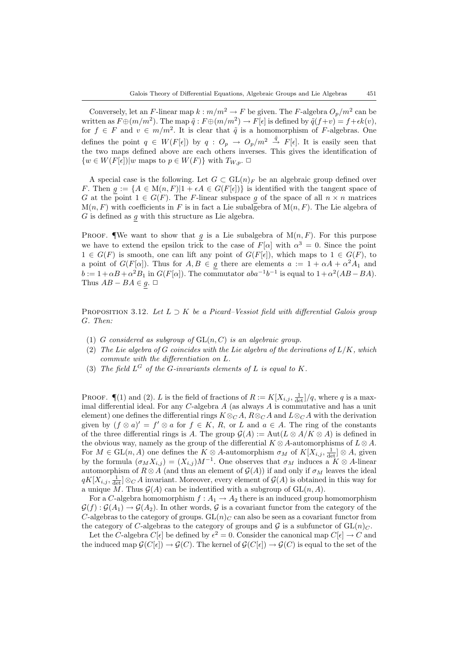Conversely, let an F-linear map  $k : m/m^2 \to F$  be given. The F-algebra  $O_p/m^2$  can be written as  $F \oplus (m/m^2)$ . The map  $\tilde{q} : F \oplus (m/m^2) \to F[\epsilon]$  is defined by  $\tilde{q}(f+v) = f + \epsilon k(v)$ , for  $f \in F$  and  $v \in m/m^2$ . It is clear that  $\tilde{q}$  is a homomorphism of F-algebras. One defines the point  $q \in W(F[\epsilon])$  by  $q: O_p \to O_p/m^2 \stackrel{\tilde{q}}{\to} F[\epsilon]$ . It is easily seen that the two maps defined above are each others inverses. This gives the identification of  $\{w \in W(F[\epsilon]) | w \text{ maps to } p \in W(F)\}$  with  $T_{W,p}$ .  $\Box$ 

A special case is the following. Let  $G \subset GL(n)$ <sub>F</sub> be an algebraic group defined over F. Then  $g := \{A \in M(n, F)|1 + \epsilon A \in G(F[\epsilon])\}$  is identified with the tangent space of G at the point  $1 \in G(F)$ . The F-linear subspace g of the space of all  $n \times n$  matrices  $M(n, F)$  with coefficients in F is in fact a Lie subalgebra of  $M(n, F)$ . The Lie algebra of  $G$  is defined as  $g$  with this structure as Lie algebra.

PROOF. We want to show that  $g$  is a Lie subalgebra of  $M(n, F)$ . For this purpose we have to extend the epsilon trick to the case of  $F[\alpha]$  with  $\alpha^3 = 0$ . Since the point  $1 \in G(F)$  is smooth, one can lift any point of  $G(F[\epsilon])$ , which maps to  $1 \in G(F)$ , to a point of  $G(F[\alpha])$ . Thus for  $A, B \in g$  there are elements  $a := 1 + \alpha A + \alpha^2 A_1$  and  $b := 1 + \alpha B + \alpha^2 B_1$  in  $G(F[\alpha])$ . The commutator  $aba^{-1}b^{-1}$  is equal to  $1 + \alpha^2 (AB - BA)$ . Thus  $AB - BA \in g$ .  $\Box$ 

<span id="page-10-0"></span>PROPOSITION 3.12. Let  $L \supset K$  be a Picard–Vessiot field with differential Galois group G. Then:

- (1) G considered as subgroup of  $GL(n, C)$  is an algebraic group.
- (2) The Lie algebra of G coincides with the Lie algebra of the derivations of  $L/K$ , which commute with the differentiation on L.
- (3) The field  $L^G$  of the G-invariants elements of L is equal to K.

PROOF.  $\P(1)$  and (2). L is the field of fractions of  $R := K[X_{i,j}, \frac{1}{\det}]/q$ , where q is a maximal differential ideal. For any  $C$ -algebra  $A$  (as always  $A$  is commutative and has a unit element) one defines the differential rings  $K \otimes_C A$ ,  $R \otimes_C A$  and  $L \otimes_C A$  with the derivation given by  $(f \otimes a)' = f' \otimes a$  for  $f \in K$ , R, or L and  $a \in A$ . The ring of the constants of the three differential rings is A. The group  $\mathcal{G}(A) := \text{Aut}(L \otimes A/K \otimes A)$  is defined in the obvious way, namely as the group of the differential  $K \otimes A$ -automorphisms of  $L \otimes A$ . For  $M \in GL(n, A)$  one defines the  $K \otimes A$ -automorphism  $\sigma_M$  of  $K[X_{i,j}, \frac{1}{\det}]\otimes A$ , given by the formula  $(\sigma_M X_{i,j}) = (X_{i,j})M^{-1}$ . One observes that  $\sigma_M$  induces a  $K \otimes A$ -linear automorphism of  $R \otimes A$  (and thus an element of  $\mathcal{G}(A)$ ) if and only if  $\sigma_M$  leaves the ideal  $qK[X_{i,j}, \frac{1}{\det}]\otimes_C A$  invariant. Moreover, every element of  $\mathcal{G}(A)$  is obtained in this way for a unique M. Thus  $\mathcal{G}(A)$  can be indentified with a subgroup of  $GL(n, A)$ .

For a C-algebra homomorphism  $f : A_1 \to A_2$  there is an induced group homomorphism  $\mathcal{G}(f) : \mathcal{G}(A_1) \to \mathcal{G}(A_2)$ . In other words,  $\mathcal{G}$  is a covariant functor from the category of the C-algebras to the category of groups.  $GL(n)_C$  can also be seen as a covariant functor from the category of C-algebras to the category of groups and  $\mathcal G$  is a subfunctor of  $GL(n)<sub>C</sub>$ .

Let the C-algebra  $C[\epsilon]$  be defined by  $\epsilon^2 = 0$ . Consider the canonical map  $C[\epsilon] \to C$  and the induced map  $\mathcal{G}(C[\epsilon]) \to \mathcal{G}(C)$ . The kernel of  $\mathcal{G}(C[\epsilon]) \to \mathcal{G}(C)$  is equal to the set of the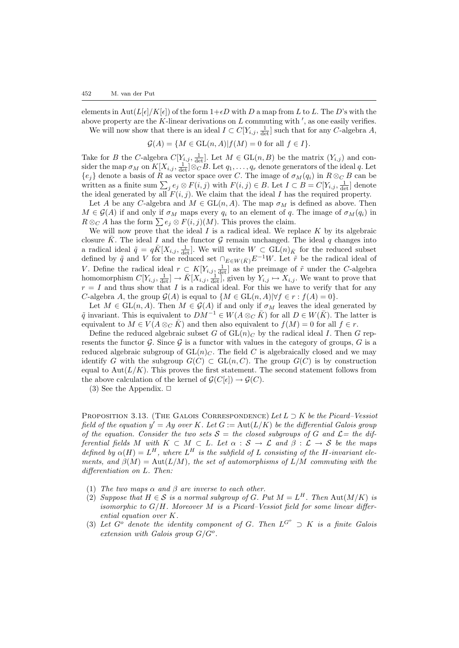elements in Aut( $L[\epsilon]/K[\epsilon]$ ) of the form  $1+\epsilon D$  with D a map from L to L. The D's with the above property are the K-linear derivations on L commuting with ', as one easily verifies. We will now show that there is an ideal  $I \subset C[Y_{i,j}, \frac{1}{\det}]$  such that for any C-algebra A,

$$
\mathcal{G}(A) = \{ M \in GL(n, A) | f(M) = 0 \text{ for all } f \in I \}.
$$

Take for B the C-algebra  $C[Y_{i,j}, \frac{1}{\det}].$  Let  $M \in GL(n, B)$  be the matrix  $(Y_{i,j})$  and consider the map  $\sigma_M$  on  $K[X_{i,j}, \frac{1}{\det}]\otimes_C B$ . Let  $q_1, \ldots, q_r$  denote generators of the ideal q. Let  ${e_j}$  denote a basis of R as vector space over C. The image of  $\sigma_M(q_i)$  in  $R \otimes_C B$  can be written as a finite sum  $\sum_j e_j \otimes F(i,j)$  with  $F(i,j) \in B$ . Let  $I \subset B = C[Y_{i,j}, \frac{1}{\det}]$  denote the ideal generated by all  $F(i, j)$ . We claim that the ideal I has the required property.

Let A be any C-algebra and  $M \in GL(n, A)$ . The map  $\sigma_M$  is defined as above. Then  $M \in \mathcal{G}(A)$  if and only if  $\sigma_M$  maps every  $q_i$  to an element of q. The image of  $\sigma_M(q_i)$  in  $R \otimes_{\mathbb{C}} A$  has the form  $\sum e_j \otimes F(i, j)(M)$ . This proves the claim.

We will now prove that the ideal  $I$  is a radical ideal. We replace  $K$  by its algebraic closure  $\bar{K}$ . The ideal I and the functor G remain unchanged. The ideal q changes into a radical ideal  $\tilde{q} = q\bar{K}[X_{i,j}, \frac{1}{\det}]$ . We will write  $W \subset GL(n)_{\bar{K}}$  for the reduced subset defined by  $\tilde{q}$  and V for the reduced set  $\cap_{E\in W(\bar{K})}E^{-1}W$ . Let  $\tilde{r}$  be the radical ideal of V. Define the radical ideal  $r \subset K[Y_{i,j}, \frac{1}{\det}]$  as the preimage of  $\tilde{r}$  under the C-algebra homomorphism  $C[Y_{i,j}, \frac{1}{\det}] \to \overline{K}[X_{i,j}, \frac{1}{\det}]$ , given by  $Y_{i,j} \mapsto X_{i,j}$ . We want to prove that  $r = I$  and thus show that I is a radical ideal. For this we have to verify that for any C-algebra A, the group  $\mathcal{G}(A)$  is equal to  $\{M \in GL(n, A)| \forall f \in r : f(A) = 0\}.$ 

Let  $M \in GL(n, A)$ . Then  $M \in \mathcal{G}(A)$  if and only if  $\sigma_M$  leaves the ideal generated by  $\tilde{q}$  invariant. This is equivalent to  $\tilde{DM}^{-1} \in W(A \otimes_{\mathcal{C}} \bar{K})$  for all  $D \in W(\bar{K})$ . The latter is equivalent to  $M \in V(A \otimes_{\mathbb{C}} \overline{K})$  and then also equivalent to  $f(M) = 0$  for all  $f \in r$ .

Define the reduced algebraic subset G of  $GL(n)<sub>C</sub>$  by the radical ideal I. Then G represents the functor  $\mathcal G$ . Since  $\mathcal G$  is a functor with values in the category of groups,  $G$  is a reduced algebraic subgroup of  $GL(n)<sub>C</sub>$ . The field C is algebraically closed and we may identify G with the subgroup  $G(C) \subset GL(n, C)$ . The group  $G(C)$  is by construction equal to  $\text{Aut}(L/K)$ . This proves the first statement. The second statement follows from the above calculation of the kernel of  $\mathcal{G}(C[\epsilon]) \to \mathcal{G}(C)$ .

(3) See the Appendix.  $\Box$ 

<span id="page-11-0"></span>PROPOSITION 3.13. (THE GALOIS CORRESPONDENCE) Let  $L \supset K$  be the Picard–Vessiot field of the equation  $y' = Ay$  over K. Let  $G := \text{Aut}(L/K)$  be the differential Galois group of the equation. Consider the two sets  $S =$  the closed subgroups of G and  $\mathcal{L} =$  the differential fields M with  $K \subset M \subset L$ . Let  $\alpha : S \to \mathcal{L}$  and  $\beta : \mathcal{L} \to S$  be the maps defined by  $\alpha(H) = L^H$ , where  $L^H$  is the subfield of L consisting of the H-invariant elements, and  $\beta(M) = \text{Aut}(L/M)$ , the set of automorphisms of  $\overline{L}/M$  commuting with the differentiation on L. Then:

- (1) The two maps  $\alpha$  and  $\beta$  are inverse to each other.
- (2) Suppose that  $H \in \mathcal{S}$  is a normal subgroup of G. Put  $M = L^H$ . Then Aut $(M/K)$  is isomorphic to  $G/H$ . Moreover M is a Picard–Vessiot field for some linear differential equation over K.
- (3) Let  $G^o$  denote the identity component of G. Then  $L^{G^o} \supset K$  is a finite Galois extension with Galois group  $G/G^o$ .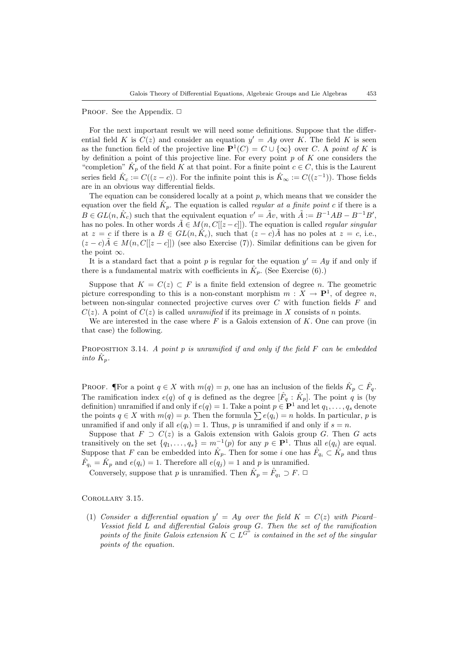PROOF. See the Appendix.  $\Box$ 

For the next important result we will need some definitions. Suppose that the differential field K is  $C(z)$  and consider an equation  $y' = Ay$  over K. The field K is seen as the function field of the projective line  $\mathbf{P}^1(C) = C \cup \{\infty\}$  over C. A point of K is by definition a point of this projective line. For every point  $p$  of  $K$  one considers the "completion"  $\hat{K}_p$  of the field K at that point. For a finite point  $c \in C$ , this is the Laurent series field  $\hat{K}_c := C((z-c))$ . For the infinite point this is  $\hat{K}_{\infty} := C((z^{-1}))$ . Those fields are in an obvious way differential fields.

The equation can be considered locally at a point  $p$ , which means that we consider the equation over the field  $\hat{K}_p$ . The equation is called *regular at a finite point c* if there is a  $B \in GL(n, \hat{K}_c)$  such that the equivalent equation  $v' = \tilde{A}v$ , with  $\tilde{A} := B^{-1}AB - B^{-1}B'$ , has no poles. In other words  $\tilde{A} \in M(n, C[[z-c]])$ . The equation is called *regular singular* at  $z = c$  if there is a  $B \in GL(n, \hat{K}_c)$ , such that  $(z - c)\tilde{A}$  has no poles at  $z = c$ , i.e.,  $(z - c)A \in M(n, C[[z - c]])$  (see also Exercise [\(7\)\)](#page-4-0). Similar definitions can be given for the point  $\infty$ .

It is a standard fact that a point p is regular for the equation  $y' = Ay$  if and only if there is a fundamental matrix with coefficients in  $\hat{K}_p$ . (See Exercise [\(6\)](#page-4-1).)

Suppose that  $K = C(z) \subset F$  is a finite field extension of degree *n*. The geometric picture corresponding to this is a non-constant morphism  $m : X \to \mathbf{P}^1$ , of degree n, between non-singular connected projective curves over  $C$  with function fields  $F$  and  $C(z)$ . A point of  $C(z)$  is called *unramified* if its preimage in X consists of n points.

We are interested in the case where  $F$  is a Galois extension of  $K$ . One can prove (in that case) the following.

PROPOSITION 3.14. A point  $p$  is unramified if and only if the field  $F$  can be embedded into  $\hat{K}_p$ .

PROOF. The point  $q \in X$  with  $m(q) = p$ , one has an inclusion of the fields  $\hat{K}_p \subset \hat{F}_q$ . The ramification index  $e(q)$  of q is defined as the degree  $[\hat{F}_q : \hat{K}_p]$ . The point q is (by definition) unramified if and only if  $e(q) = 1$ . Take a point  $p \in \mathbf{P}^1$  and let  $q_1, \ldots, q_s$  denote the points  $q \in X$  with  $m(q) = p$ . Then the formula  $\sum e(q_i) = n$  holds. In particular, p is unramified if and only if all  $e(q_i) = 1$ . Thus, p is unramified if and only if  $s = n$ .

Suppose that  $F \supset C(z)$  is a Galois extension with Galois group G. Then G acts transitively on the set  $\{q_1, \ldots, q_s\} = m^{-1}(p)$  for any  $p \in \mathbf{P}^1$ . Thus all  $e(q_i)$  are equal. Suppose that F can be embedded into  $\hat{K}_p$ . Then for some i one has  $\hat{F}_{q_i} \subset \hat{K}_p$  and thus  $\hat{F}_{q_i} = \hat{K}_p$  and  $e(q_i) = 1$ . Therefore all  $e(q_j) = 1$  and p is unramified.

Conversely, suppose that p is unramified. Then  $\hat{K}_p = \hat{F}_{q_1} \supset F$ .  $\Box$ 

Corollary 3.15.

(1) Consider a differential equation  $y' = Ay$  over the field  $K = C(z)$  with Picard-Vessiot field  $L$  and differential Galois group  $G$ . Then the set of the ramification points of the finite Galois extension  $K \subset L^{G^{\circ}}$  is contained in the set of the singular points of the equation.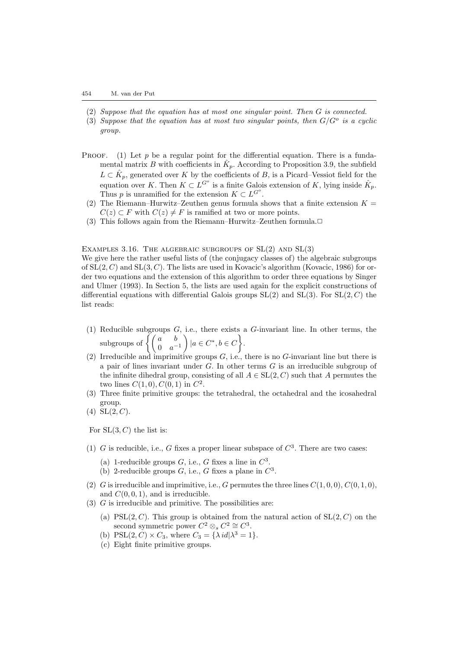- (2) Suppose that the equation has at most one singular point. Then G is connected.
- (3) Suppose that the equation has at most two singular points, then  $G/G^o$  is a cyclic group.
- PROOF. (1) Let  $p$  be a regular point for the differential equation. There is a fundamental matrix B with coefficients in  $\hat{K}_p$ . According to Proposition [3.9,](#page-8-0) the subfield  $L \subset \hat{K}_p$ , generated over K by the coefficients of B, is a Picard–Vessiot field for the equation over K. Then  $K \subset L^{G^o}$  is a finite Galois extension of K, lying inside  $\hat{K}_p$ . Thus p is unramified for the extension  $K \subset L^{G^o}$ .
	- (2) The Riemann–Hurwitz–Zeuthen genus formula shows that a finite extension  $K =$  $C(z) \subset F$  with  $C(z) \neq F$  is ramified at two or more points.
	- (3) This follows again from the Riemann–Hurwitz–Zeuthen formula. $\Box$

EXAMPLES 3.16. THE ALGEBRAIC SUBGROUPS OF  $SL(2)$  AND  $SL(3)$ 

We give here the rather useful lists of (the conjugacy classes of) the algebraic subgroups of  $SL(2, C)$  and  $SL(3, C)$ . The lists are used in Kovacic's algorithm [\(Kovacic, 1986](#page-32-4)) for order two equations and the extension of this algorithm to order three equations by [Singer](#page-32-5) [and Ulmer \(1993](#page-32-5)). In Section [5,](#page-18-0) the lists are used again for the explicit constructions of differential equations with differential Galois groups  $SL(2)$  and  $SL(3)$ . For  $SL(2, C)$  the list reads:

- (1) Reducible subgroups  $G$ , i.e., there exists a  $G$ -invariant line. In other terms, the subgroups of  $\begin{cases} \begin{pmatrix} a & b \\ 0 & a^{-1} \end{pmatrix}$  $\Big\} |a \in C^*, b \in C$ .
- (2) Irreducible and imprimitive groups  $G$ , i.e., there is no  $G$ -invariant line but there is a pair of lines invariant under  $G$ . In other terms  $G$  is an irreducible subgroup of the infinite dihedral group, consisting of all  $A \in SL(2, C)$  such that A permutes the two lines  $C(1,0), C(0,1)$  in  $C^2$ .
- (3) Three finite primitive groups: the tetrahedral, the octahedral and the icosahedral group.
- (4)  $SL(2, C)$ .

For  $SL(3, C)$  the list is:

- (1) G is reducible, i.e., G fixes a proper linear subspace of  $C^3$ . There are two cases:
	- (a) 1-reducible groups  $G$ , i.e.,  $G$  fixes a line in  $C^3$ .
	- (b) 2-reducible groups  $G$ , i.e.,  $G$  fixes a plane in  $C^3$ .
- (2) G is irreducible and imprimitive, i.e., G permutes the three lines  $C(1, 0, 0)$ ,  $C(0, 1, 0)$ , and  $C(0, 0, 1)$ , and is irreducible.
- $(3)$  G is irreducible and primitive. The possibilities are:
	- (a) PSL $(2, C)$ . This group is obtained from the natural action of  $SL(2, C)$  on the second symmetric power  $C^2 \otimes_s C^2 \cong C^3$ .
	- (b) PSL $(2, C) \times C_3$ , where  $C_3 = {\{\lambda \, id \, | \lambda^3 = 1\}}$ .
	- (c) Eight finite primitive groups.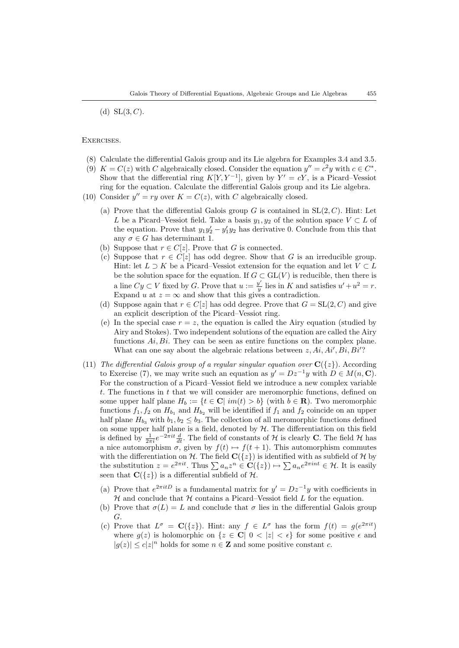(d)  $SL(3, C)$ .

Exercises.

- (8) Calculate the differential Galois group and its Lie algebra for Examples [3.4](#page-6-2) and [3.5.](#page-7-0)
- (9)  $K = C(z)$  with C algebraically closed. Consider the equation  $y'' = c^2y$  with  $c \in C^*$ . Show that the differential ring  $K[Y, Y^{-1}]$ , given by  $Y' = cY$ , is a Picard–Vessiot ring for the equation. Calculate the differential Galois group and its Lie algebra.
- (10) Consider  $y'' = ry$  over  $K = C(z)$ , with C algebraically closed.
	- (a) Prove that the differential Galois group G is contained in  $SL(2, C)$ . Hint: Let L be a Picard–Vessiot field. Take a basis  $y_1, y_2$  of the solution space  $V \subset L$  of the equation. Prove that  $y_1 y_2' - y_1' y_2$  has derivative 0. Conclude from this that any  $\sigma \in G$  has determinant 1.
	- (b) Suppose that  $r \in C[z]$ . Prove that G is connected.
	- (c) Suppose that  $r \in C[z]$  has odd degree. Show that G is an irreducible group. Hint: let  $L \supset K$  be a Picard–Vessiot extension for the equation and let  $V \subset L$ be the solution space for the equation. If  $G \subset GL(V)$  is reducible, then there is a line  $Cy \subset V$  fixed by G. Prove that  $u := \frac{y'}{y}$  $\frac{y'}{y}$  lies in K and satisfies  $u' + u^2 = r$ . Expand u at  $z = \infty$  and show that this gives a contradiction.
	- (d) Suppose again that  $r \in C[z]$  has odd degree. Prove that  $G = SL(2, C)$  and give an explicit description of the Picard–Vessiot ring.
	- (e) In the special case  $r = z$ , the equation is called the Airy equation (studied by Airy and Stokes). Two independent solutions of the equation are called the Airy functions  $Ai, Bi$ . They can be seen as entire functions on the complex plane. What can one say about the algebraic relations between  $z, Ai, Ai', Bi, Bi'$ ?
- (11) The differential Galois group of a regular singular equation over  $C({z})$ . According to Exercise [\(7\),](#page-4-0) we may write such an equation as  $y' = Dz^{-1}y$  with  $D \in M(n, \mathbb{C})$ . For the construction of a Picard–Vessiot field we introduce a new complex variable t. The functions in t that we will consider are meromorphic functions, defined on some upper half plane  $H_b := \{t \in \mathbb{C} | im(t) > b\}$  (with  $b \in \mathbb{R}$ ). Two meromorphic functions  $f_1, f_2$  on  $H_{b_1}$  and  $H_{b_2}$  will be identified if  $f_1$  and  $f_2$  coincide on an upper half plane  $H_{b_3}$  with  $b_1, b_2 \leq b_3$ . The collection of all meromorphic functions defined on some upper half plane is a field, denoted by  $H$ . The differentiation on this field is defined by  $\frac{1}{2\pi i}e^{-2\pi it}\frac{d}{dt}$ . The field of constants of H is clearly C. The field H has a nice automorphism  $\sigma$ , given by  $f(t) \mapsto f(t + 1)$ . This automorphism commutes with the differentiation on H. The field  $\mathbf{C}(\{z\})$  is identified with as subfield of H by the substitution  $z = e^{2\pi i t}$ . Thus  $\sum a_n z^n \in \mathbb{C}(\{z\}) \mapsto \sum a_n e^{2\pi i nt} \in \mathcal{H}$ . It is easily seen that  $\mathbf{C}({z})$  is a differential subfield of  $\mathcal{H}$ .
	- (a) Prove that  $e^{2\pi i tD}$  is a fundamental matrix for  $y' = Dz^{-1}y$  with coefficients in  $H$  and conclude that  $H$  contains a Picard–Vessiot field  $L$  for the equation.
	- (b) Prove that  $\sigma(L) = L$  and conclude that  $\sigma$  lies in the differential Galois group G.
	- (c) Prove that  $L^{\sigma} = \mathbf{C}(\{z\})$ . Hint: any  $f \in L^{\sigma}$  has the form  $f(t) = g(e^{2\pi i t})$ where  $q(z)$  is holomorphic on  $\{z \in \mathbb{C} \mid 0 < |z| < \epsilon\}$  for some positive  $\epsilon$  and  $|g(z)| \leq c|z|^n$  holds for some  $n \in \mathbb{Z}$  and some positive constant c.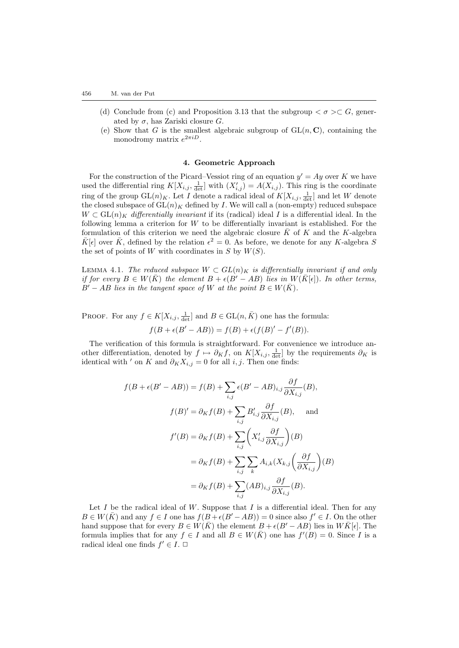- (d) Conclude from (c) and Proposition [3.13](#page-11-0) that the subgroup  $\langle \sigma \rangle \subset G$ , generated by  $\sigma$ , has Zariski closure G.
- (e) Show that G is the smallest algebraic subgroup of  $GL(n, \mathbb{C})$ , containing the monodromy matrix  $e^{2\pi iD}$ .

## 4. Geometric Approach

For the construction of the Picard–Vessiot ring of an equation  $y' = Ay$  over K we have used the differential ring  $K[X_{i,j}, \frac{1}{\det}]$  with  $(X'_{i,j}) = A(X_{i,j})$ . This ring is the coordinate ring of the group  $GL(n)_K$ . Let I denote a radical ideal of  $K[X_{i,j}, \frac{1}{\det}]$  and let W denote the closed subspace of  $GL(n)<sub>K</sub>$  defined by I. We will call a (non-empty) reduced subspace  $W \subset GL(n)_K$  differentially invariant if its (radical) ideal I is a differential ideal. In the following lemma a criterion for  $W$  to be differentially invariant is established. For the formulation of this criterion we need the algebraic closure  $\bar{K}$  of K and the K-algebra  $\bar{K}[\epsilon]$  over  $\bar{K}$ , defined by the relation  $\epsilon^2 = 0$ . As before, we denote for any K-algebra S the set of points of W with coordinates in  $S$  by  $W(S)$ .

<span id="page-15-0"></span>LEMMA 4.1. The reduced subspace  $W \subset GL(n)_K$  is differentially invariant if and only if for every  $B \in W(\overline{K})$  the element  $B + \epsilon (B' - AB)$  lies in  $W(\overline{K}[\epsilon])$ . In other terms,  $B'-AB$  lies in the tangent space of W at the point  $B\in W(\overline{K})$ .

PROOF. For any  $f \in K[X_{i,j}, \frac{1}{\det}]$  and  $B \in GL(n, \overline{K})$  one has the formula:

$$
f(B + \epsilon(B' - AB)) = f(B) + \epsilon(f(B)' - f'(B)).
$$

The verification of this formula is straightforward. For convenience we introduce another differentiation, denoted by  $f \mapsto \partial_K f$ , on  $K[X_{i,j}, \frac{1}{\det}]$  by the requirements  $\partial_K$  is identical with ' on K and  $\partial_K X_{i,j} = 0$  for all i, j. Then one finds:

$$
f(B + \epsilon(B' - AB)) = f(B) + \sum_{i,j} \epsilon(B' - AB)_{i,j} \frac{\partial f}{\partial X_{i,j}}(B),
$$
  

$$
f(B)' = \partial_K f(B) + \sum_{i,j} B'_{i,j} \frac{\partial f}{\partial X_{i,j}}(B),
$$
 and  

$$
f'(B) = \partial_K f(B) + \sum_{i,j} \left( X'_{i,j} \frac{\partial f}{\partial X_{i,j}} \right)(B)
$$
  

$$
= \partial_K f(B) + \sum_{i,j} \sum_k A_{i,k} (X_{k,j} \left( \frac{\partial f}{\partial X_{i,j}} \right)(B)
$$
  

$$
= \partial_K f(B) + \sum_{i,j} (AB)_{i,j} \frac{\partial f}{\partial X_{i,j}}(B).
$$

Let  $I$  be the radical ideal of  $W$ . Suppose that  $I$  is a differential ideal. Then for any  $B \in W(\overline{K})$  and any  $f \in I$  one has  $f(B+\epsilon(B'-AB))=0$  since also  $f' \in I$ . On the other hand suppose that for every  $B \in W(\overline{K})$  the element  $B + \epsilon(B' - AB)$  lies in  $W\overline{K}[\epsilon]$ . The formula implies that for any  $f \in I$  and all  $B \in W(\overline{K})$  one has  $f'(B) = 0$ . Since I is a radical ideal one finds  $f' \in I$ .  $\Box$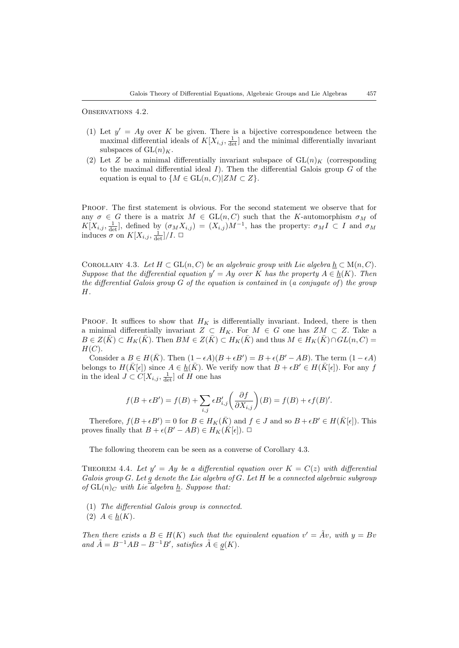<span id="page-16-2"></span>OBSERVATIONS 4.2.

- (1) Let  $y' = Ay$  over K be given. There is a bijective correspondence between the maximal differential ideals of  $K[X_{i,j}, \frac{1}{\det}]$  and the minimal differentially invariant subspaces of  $GL(n)<sub>K</sub>$ .
- (2) Let Z be a minimal differentially invariant subspace of  $GL(n)<sub>K</sub>$  (corresponding to the maximal differential ideal  $I$ ). Then the differential Galois group  $G$  of the equation is equal to  $\{M \in GL(n, C)| ZM \subset Z\}.$

PROOF. The first statement is obvious. For the second statement we observe that for any  $\sigma \in G$  there is a matrix  $M \in GL(n, C)$  such that the K-automorphism  $\sigma_M$  of  $K[X_{i,j}, \frac{1}{\det}],$  defined by  $(\sigma_M X_{i,j}) = (X_{i,j})M^{-1}$ , has the property:  $\sigma_M I \subset I$  and  $\sigma_M$ induces  $\sigma$  on  $K[X_{i,j}, \frac{1}{\det}]/I$ .  $\Box$ 

<span id="page-16-0"></span>COROLLARY 4.3. Let  $H \subset GL(n, C)$  be an algebraic group with Lie algebra  $\underline{h} \subset M(n, C)$ . Suppose that the differential equation  $y' = Ay$  over K has the property  $A \in h(K)$ . Then the differential Galois group  $G$  of the equation is contained in (a conjugate of) the group H.

PROOF. It suffices to show that  $H_K$  is differentially invariant. Indeed, there is then a minimal differentially invariant  $Z \subset H_K$ . For  $M \in G$  one has  $ZM \subset Z$ . Take a  $B \in Z(\overline{K}) \subset H_K(\overline{K})$ . Then  $BM \in Z(\overline{K}) \subset H_K(\overline{K})$  and thus  $M \in H_K(\overline{K}) \cap GL(n, C)$  $H(C).$ 

Consider a  $B \in H(\overline{K})$ . Then  $(1 - \epsilon A)(B + \epsilon B') = B + \epsilon (B' - AB)$ . The term  $(1 - \epsilon A)$ belongs to  $H(\bar{K}[\epsilon])$  since  $A \in \underline{h}(\bar{K})$ . We verify now that  $B + \epsilon B' \in H(\bar{K}[\epsilon])$ . For any f in the ideal  $J \subset C[X_{i,j}, \frac{1}{\det}]$  of H one has

$$
f(B + \epsilon B') = f(B) + \sum_{i,j} \epsilon B'_{i,j} \left( \frac{\partial f}{\partial X_{i,j}} \right) (B) = f(B) + \epsilon f(B)'
$$

Therefore,  $f(B+\epsilon B')=0$  for  $B\in H_K(\bar K)$  and  $f\in J$  and so  $B+\epsilon B'\in H(\bar K[\epsilon])$ . This proves finally that  $B + \epsilon (B' - AB) \in H_K(\overline{K}[\epsilon])$ .  $\Box$ 

The following theorem can be seen as a converse of Corollary [4.3.](#page-16-0)

<span id="page-16-1"></span>THEOREM 4.4. Let  $y' = Ay$  be a differential equation over  $K = C(z)$  with differential Galois group G. Let g denote the Lie algebra of G. Let H be a connected algebraic subgroup of  $GL(n)_C$  with Lie algebra  $\underline{h}$ . Suppose that:

(1) The differential Galois group is connected. (2)  $A \in h(K)$ .

Then there exists a  $B \in H(K)$  such that the equivalent equation  $v' = Av$ , with  $y = Bv$ and  $\tilde{A} = B^{-1}AB - B^{-1}B'$ , satisfies  $\tilde{A} \in g(K)$ .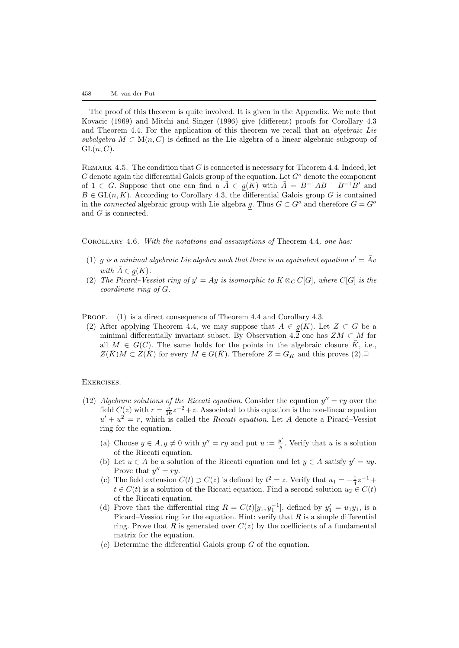The proof of this theorem is quite involved. It is given in the Appendix. We note that [Kovacic \(1969\)](#page-32-6) and [Mitchi and Singer \(1996](#page-32-7)) give (different) proofs for Corollary [4.3](#page-16-0) and Theorem [4.4](#page-16-1). For the application of this theorem we recall that an algebraic Lie subalgebra  $M \subset M(n, C)$  is defined as the Lie algebra of a linear algebraic subgroup of  $GL(n, C)$ .

REMARK 4.5. The condition that  $G$  is connected is necessary for Theorem [4.4](#page-16-1). Indeed, let G denote again the differential Galois group of the equation. Let  $G<sup>o</sup>$  denote the component of 1 ∈ G. Suppose that one can find a  $\tilde{A} \in g(K)$  with  $\tilde{A} = B^{-1}AB - B^{-1}B'$  and  $B \in GL(n, K)$ . According to Corollary [4.3,](#page-16-0) the differential Galois group G is contained in the *connected* algebraic group with Lie algebra g. Thus  $G \subset G^o$  and therefore  $G = G^o$ and G is connected.

COROLLARY 4.6. With the notations and assumptions of Theorem [4.4](#page-16-1), one has:

- (1) g is a minimal algebraic Lie algebra such that there is an equivalent equation  $v' = Av'$ with  $A \in g(K)$ .
- (2) The Picard–Vessiot ring of  $y' = Ay$  is isomorphic to  $K \otimes_C C[G]$ , where  $C[G]$  is the coordinate ring of G.

PROOF. (1) is a direct consequence of Theorem [4.4](#page-16-1) and Corollary [4.3.](#page-16-0)

(2) After applying Theorem [4.4](#page-16-1), we may suppose that  $A \in g(K)$ . Let  $Z \subset G$  be a minimal differentially invariant subset. By Observation [4.2](#page-16-2) one has  $ZM \subset M$  for all  $M \in G(C)$ . The same holds for the points in the algebraic closure  $\overline{K}$ , i.e.,  $Z(\overline{K})M \subset Z(\overline{K})$  for every  $M \in G(\overline{K})$ . Therefore  $Z = G_K$  and this proves (2).

## Exercises.

- (12) Algebraic solutions of the Riccati equation. Consider the equation  $y'' = ry$  over the field  $C(z)$  with  $r = \frac{5}{16}z^{-2} + z$ . Associated to this equation is the non-linear equation  $u' + u^2 = r$ , which is called the *Riccati equation*. Let A denote a Picard–Vessiot ring for the equation.
	- (a) Choose  $y \in A, y \neq 0$  with  $y'' = ry$  and put  $u := \frac{y'}{y}$  $\frac{y}{y}$ . Verify that u is a solution of the Riccati equation.
	- (b) Let  $u \in A$  be a solution of the Riccati equation and let  $y \in A$  satisfy  $y' = uy$ . Prove that  $y'' = ry$ .
	- (c) The field extension  $C(t) \supset C(z)$  is defined by  $t^2 = z$ . Verify that  $u_1 = -\frac{1}{4}z^{-1} +$  $t \in C(t)$  is a solution of the Riccati equation. Find a second solution  $u_2 \in C(t)$ of the Riccati equation.
	- (d) Prove that the differential ring  $R = C(t)[y_1, y_1^{-1}]$ , defined by  $y_1' = u_1y_1$ , is a Picard–Vessiot ring for the equation. Hint: verify that  $R$  is a simple differential ring. Prove that R is generated over  $C(z)$  by the coefficients of a fundamental matrix for the equation.
	- (e) Determine the differential Galois group  $G$  of the equation.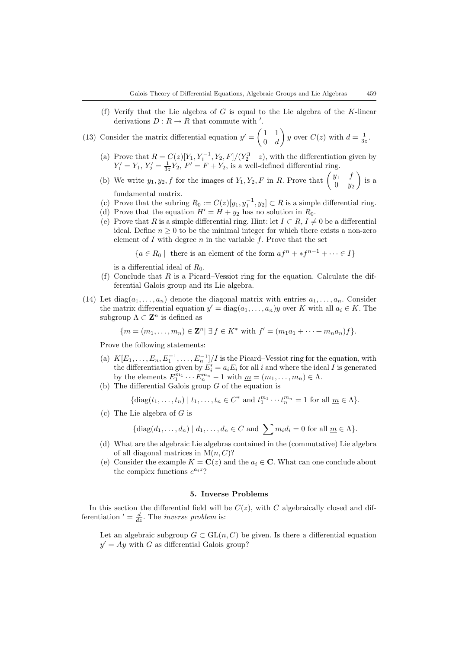- (f) Verify that the Lie algebra of G is equal to the Lie algebra of the K-linear derivations  $D: R \to R$  that commute with '.
- (13) Consider the matrix differential equation  $y' = \begin{pmatrix} 1 & 1 \\ 0 & J \end{pmatrix}$  $0 \quad d$ y over  $C(z)$  with  $d=\frac{1}{3z}$ .
	- (a) Prove that  $R = C(z)[Y_1, Y_1^{-1}, Y_2, F]/(Y_2^3 z)$ , with the differentiation given by  $Y_1' = Y_1, Y_2' = \frac{1}{3z}Y_2, F' = F + Y_2$ , is a well-defined differential ring.
	- (b) We write  $y_1, y_2, f$  for the images of  $Y_1, Y_2, F$  in R. Prove that  $\begin{pmatrix} y_1 & f \\ 0 & y_2 \end{pmatrix}$  $0 \t y_2$  $\Big)$  is a fundamental matrix.
	- (c) Prove that the subring  $R_0 := C(z)[y_1, y_1^{-1}, y_2] \subset R$  is a simple differential ring.
	- (d) Prove that the equation  $H' = H + y_2$  has no solution in  $R_0$ .
	- (e) Prove that R is a simple differential ring. Hint: let  $I \subset R$ ,  $I \neq 0$  be a differential ideal. Define  $n \geq 0$  to be the minimal integer for which there exists a non-zero element of  $I$  with degree  $n$  in the variable  $f$ . Prove that the set

 ${a \in R_0 \mid \text{ there is an element of the form } af^n + *f^{n-1} + \cdots \in I}$ 

is a differential ideal of  $R_0$ .

- (f) Conclude that R is a Picard–Vessiot ring for the equation. Calculate the differential Galois group and its Lie algebra.
- <span id="page-18-1"></span>(14) Let  $diag(a_1, \ldots, a_n)$  denote the diagonal matrix with entries  $a_1, \ldots, a_n$ . Consider the matrix differential equation  $y' = diag(a_1, \ldots, a_n)y$  over K with all  $a_i \in K$ . The subgroup  $\Lambda \subset \mathbf{Z}^n$  is defined as

$$
\{ \underline{m} = (m_1, \dots, m_n) \in \mathbf{Z}^n \mid \exists f \in K^* \text{ with } f' = (m_1 a_1 + \dots + m_n a_n) f \}.
$$

Prove the following statements:

- (a)  $K[E_1, \ldots, E_n, E_1^{-1}, \ldots, E_n^{-1}]/I$  is the Picard–Vessiot ring for the equation, with the differentiation given by  $E'_i = a_i E_i$  for all i and where the ideal I is generated by the elements  $E_1^{m_1} \cdots E_n^{m_n} - 1$  with  $\underline{m} = (m_1, \ldots, m_n) \in \Lambda$ .
- (b) The differential Galois group  $G$  of the equation is

$$
\{\operatorname{diag}(t_1,\ldots,t_n) \mid t_1,\ldots,t_n \in C^* \text{ and } t_1^{m_1}\cdots t_n^{m_n} = 1 \text{ for all } \underline{m} \in \Lambda\}.
$$

(c) The Lie algebra of  $G$  is

$$
\{\operatorname{diag}(d_1,\ldots,d_n) \mid d_1,\ldots,d_n \in C \text{ and } \sum m_i d_i = 0 \text{ for all } \underline{m} \in \Lambda\}.
$$

- (d) What are the algebraic Lie algebras contained in the (commutative) Lie algebra of all diagonal matrices in  $M(n, C)$ ?
- (e) Consider the example  $K = \mathbf{C}(z)$  and the  $a_i \in \mathbf{C}$ . What can one conclude about the complex functions  $e^{a_i z}$ ?

## 5. Inverse Problems

<span id="page-18-0"></span>In this section the differential field will be  $C(z)$ , with C algebraically closed and differentiation  $' = \frac{d}{dz}$ . The *inverse problem* is:

Let an algebraic subgroup  $G \subset GL(n, C)$  be given. Is there a differential equation  $y' = Ay$  with G as differential Galois group?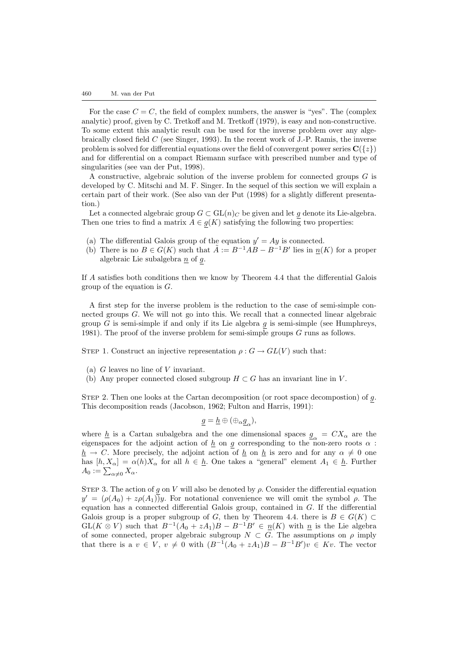For the case  $C = C$ , the field of complex numbers, the answer is "yes". The (complex analytic) proof, given by [C. Tretkoff and M. Tretkoff \(1979\)](#page-32-8), is easy and non-constructive. To some extent this analytic result can be used for the inverse problem over any algebraically closed field  $C$  (see [Singer, 1993](#page-32-9)). In the recent work of J.-P. Ramis, the inverse problem is solved for differential equations over the field of convergent power series  $C({z})$ and for differential on a compact Riemann surface with prescribed number and type of singularities (see [van der Put, 1998](#page-32-10)).

A constructive, algebraic solution of the inverse problem for connected groups G is developed by C. Mitschi and M. F. Singer. In the sequel of this section we will explain a certain part of their work. (See also [van der Put \(1998\)](#page-32-10) for a slightly different presentation.)

Let a connected algebraic group  $G \subset GL(n)_C$  be given and let  $g$  denote its Lie-algebra. Then one tries to find a matrix  $A \in g(K)$  satisfying the following two properties:

- (a) The differential Galois group of the equation  $y' = Ay$  is connected.
- (b) There is no  $B \in G(K)$  such that  $\tilde{A} := B^{-1}AB B^{-1}B'$  lies in  $\underline{n}(K)$  for a proper algebraic Lie subalgebra  $\underline{n}$  of  $g$ .

If A satisfies both conditions then we know by Theorem [4.4](#page-16-1) that the differential Galois group of the equation is  $G$ .

A first step for the inverse problem is the reduction to the case of semi-simple connected groups G. We will not go into this. We recall that a connected linear algebraic group  $G$  is semi-simple if and only if its Lie algebra  $g$  is semi-simple (see [Humphreys,](#page-32-11) [1981\)](#page-32-11). The proof of the inverse problem for semi-simple groups  $G$  runs as follows.

STEP 1. Construct an injective representation  $\rho: G \to GL(V)$  such that:

- (a)  $G$  leaves no line of  $V$  invariant.
- (b) Any proper connected closed subgroup  $H \subset G$  has an invariant line in V.

STEP 2. Then one looks at the Cartan decomposition (or root space decompostion) of  $g$ . This decomposition reads [\(Jacobson, 1962;](#page-32-12) [Fulton and Harris, 1991\)](#page-32-13):

$$
\underline{g}=\underline{h}\oplus (\oplus_{\alpha}\underline{g}_{\alpha}),
$$

where  $\underline{h}$  is a Cartan subalgebra and the one dimensional spaces  $\underline{g}_{\alpha} = CX_{\alpha}$  are the eigenspaces for the adjoint action of  $\underline{h}$  on g corresponding to the non-zero roots  $\alpha$ :  $h \to C$ . More precisely, the adjoint action of h on h is zero and for any  $\alpha \neq 0$  one has  $[h, X_{\alpha}] = \alpha(h)X_{\alpha}$  for all  $h \in \underline{h}$ . One takes a "general" element  $A_1 \in \underline{h}$ . Further  $A_0 := \sum_{\alpha \neq 0} X_{\alpha}.$ 

STEP 3. The action of g on V will also be denoted by  $\rho$ . Consider the differential equation  $y' = (\rho(A_0) + z\rho(A_1))y$ . For notational convenience we will omit the symbol  $\rho$ . The equation has a connected differential Galois group, contained in  $G$ . If the differential Galois group is a proper subgroup of G, then by Theorem [4.4](#page-16-1). there is  $B \in G(K)$  $GL(K \otimes V)$  such that  $B^{-1}(A_0 + zA_1)B - B^{-1}B' \in \underline{n}(K)$  with  $\underline{n}$  is the Lie algebra of some connected, proper algebraic subgroup  $N \subset G$ . The assumptions on  $\rho$  imply that there is a  $v \in V$ ,  $v \neq 0$  with  $(B^{-1}(A_0 + zA_1)B - B^{-1}B')v \in Kv$ . The vector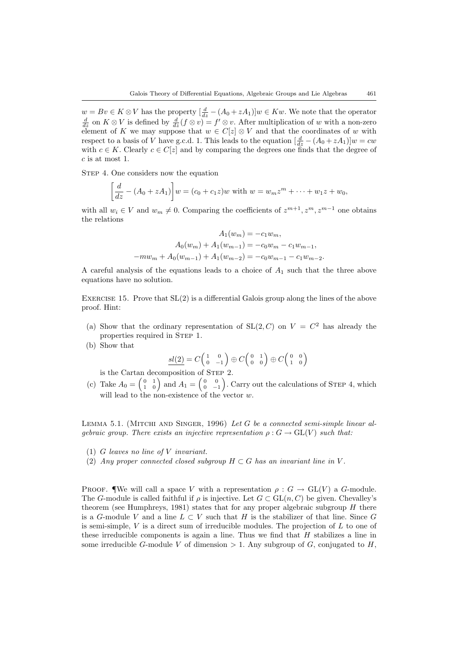$w = Bv \in K \otimes V$  has the property  $\left[\frac{d}{dz} - (A_0 + zA_1)\right]w \in Kw$ . We note that the operator  $\frac{d}{dz}$  on  $K \otimes V$  is defined by  $\frac{d}{dz}(f \otimes v) = f' \otimes v$ . After multiplication of w with a non-zero element of K we may suppose that  $w \in C[z] \otimes V$  and that the coordinates of w with respect to a basis of V have g.c.d. 1. This leads to the equation  $\left[\frac{d}{dz} - (A_0 + zA_1)\right]w = cw$ with  $c \in K$ . Clearly  $c \in C[z]$  and by comparing the degrees one finds that the degree of c is at most 1.

STEP 4. One considers now the equation

$$
\[\frac{d}{dz} - (A_0 + zA_1)\]w = (c_0 + c_1z)w \text{ with } w = w_m z^m + \dots + w_1 z + w_0,
$$

with all  $w_i \in V$  and  $w_m \neq 0$ . Comparing the coefficients of  $z^{m+1}, z^m, z^{m-1}$  one obtains the relations

$$
A_1(w_m) = -c_1 w_m,
$$
  
\n
$$
A_0(w_m) + A_1(w_{m-1}) = -c_0 w_m - c_1 w_{m-1},
$$
  
\n
$$
-mw_m + A_0(w_{m-1}) + A_1(w_{m-2}) = -c_0 w_{m-1} - c_1 w_{m-2}.
$$

A careful analysis of the equations leads to a choice of  $A_1$  such that the three above equations have no solution.

EXERCISE 15. Prove that  $SL(2)$  is a differential Galois group along the lines of the above proof. Hint:

- (a) Show that the ordinary representation of  $SL(2, C)$  on  $V = C<sup>2</sup>$  has already the properties required in STEP 1.
- (b) Show that

$$
\underline{sl(2)} = C \begin{pmatrix} 1 & 0 \\ 0 & -1 \end{pmatrix} \oplus C \begin{pmatrix} 0 & 1 \\ 0 & 0 \end{pmatrix} \oplus C \begin{pmatrix} 0 & 0 \\ 1 & 0 \end{pmatrix}
$$

is the Cartan decomposition of Step 2.

(c) Take  $A_0 = \begin{pmatrix} 0 & 1 \\ 1 & 0 \end{pmatrix}$  and  $A_1 = \begin{pmatrix} 0 & 0 \\ 0 & -1 \end{pmatrix}$ . Carry out the calculations of STEP 4, which will lead to the non-existence of the vector  $w$ .

<span id="page-20-0"></span>LEMMA 5.1. (MITCHI AND SINGER, 1996) Let G be a connected semi-simple linear algebraic group. There exists an injective representation  $\rho: G \to GL(V)$  such that:

- (1) G leaves no line of V invariant.
- (2) Any proper connected closed subgroup  $H \subset G$  has an invariant line in V.

PROOF. We will call a space V with a representation  $\rho: G \to GL(V)$  a G-module. The G-module is called faithful if  $\rho$  is injective. Let  $G \subset GL(n, C)$  be given. Chevalley's theorem (see [Humphreys, 1981\)](#page-32-11) states that for any proper algebraic subgroup  $H$  there is a G-module V and a line  $L \subset V$  such that H is the stabilizer of that line. Since G is semi-simple,  $V$  is a direct sum of irreducible modules. The projection of  $L$  to one of these irreducible components is again a line. Thus we find that  $H$  stabilizes a line in some irreducible G-module V of dimension  $> 1$ . Any subgroup of G, conjugated to H,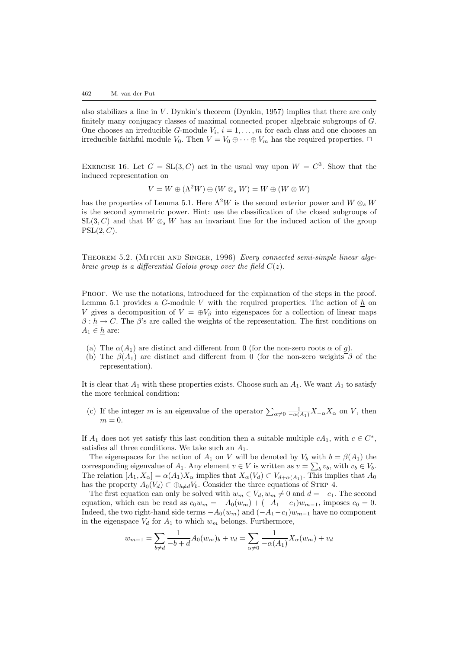alsostabilizes a line in  $V$ . Dynkin's theorem ([Dynkin, 1957\)](#page-32-14) implies that there are only finitely many conjugacy classes of maximal connected proper algebraic subgroups of G. One chooses an irreducible G-module  $V_i$ ,  $i = 1, ..., m$  for each class and one chooses an irreducible faithful module  $V_0$ . Then  $V = V_0 \oplus \cdots \oplus V_m$  has the required properties.  $\Box$ 

EXERCISE 16. Let  $G = SL(3, C)$  act in the usual way upon  $W = C<sup>3</sup>$ . Show that the induced representation on

$$
V = W \oplus (\Lambda^2 W) \oplus (W \otimes_s W) = W \oplus (W \otimes W)
$$

has the properties of Lemma [5.1](#page-20-0). Here  $\Lambda^2 W$  is the second exterior power and  $W \otimes_s W$ is the second symmetric power. Hint: use the classification of the closed subgroups of  $SL(3, C)$  and that  $W \otimes_s W$  has an invariant line for the induced action of the group  $PSL(2, C)$ .

<span id="page-21-0"></span>THEOREM5.2. (MITCHI AND SINGER, 1996) Every connected semi-simple linear algebraic group is a differential Galois group over the field  $C(z)$ .

Proof. We use the notations, introduced for the explanation of the steps in the proof. Lemma [5.1](#page-20-0) provides a G-module V with the required properties. The action of  $\underline{h}$  on V gives a decomposition of  $V = \bigoplus V_\beta$  into eigenspaces for a collection of linear maps  $\beta: \underline{h} \to C$ . The  $\beta$ 's are called the weights of the representation. The first conditions on  $A_1 \in \underline{h}$  are:

- (a) The  $\alpha(A_1)$  are distinct and different from 0 (for the non-zero roots  $\alpha$  of g).
- (b) The  $\beta(A_1)$  are distinct and different from 0 (for the non-zero weights  $\beta$  of the representation).

It is clear that  $A_1$  with these properties exists. Choose such an  $A_1$ . We want  $A_1$  to satisfy the more technical condition:

(c) If the integer m is an eigenvalue of the operator  $\sum_{\alpha\neq 0} \frac{1}{-\alpha(A_1)} X_{-\alpha} X_{\alpha}$  on V, then  $m=0.$ 

If  $A_1$  does not yet satisfy this last condition then a suitable multiple  $cA_1$ , with  $c \in C^*$ , satisfies all three conditions. We take such an  $A_1$ .

The eigenspaces for the action of  $A_1$  on V will be denoted by  $V_b$  with  $b = \beta(A_1)$  the corresponding eigenvalue of  $A_1$ . Any element  $v \in V$  is written as  $v = \sum_b v_b$ , with  $v_b \in V_b$ . The relation  $[A_1, X_\alpha] = \alpha(A_1)X_\alpha$  implies that  $X_\alpha(V_d) \subset V_{d+\alpha(A_1)}$ . This implies that  $A_0$ has the property  $A_0(V_d) \subset \bigoplus_{b \neq d} V_b$ . Consider the three equations of STEP 4.

The first equation can only be solved with  $w_m \in V_d, w_m \neq 0$  and  $d = -c_1$ . The second equation, which can be read as  $c_0w_m = -A_0(w_m) + (-A_1 - c_1)w_{m-1}$ , imposes  $c_0 = 0$ . Indeed, the two right-hand side terms  $-A_0(w_m)$  and  $(-A_1-c_1)w_{m-1}$  have no component in the eigenspace  $V_d$  for  $A_1$  to which  $w_m$  belongs. Furthermore,

$$
w_{m-1} = \sum_{b \neq d} \frac{1}{-b+d} A_0(w_m)_b + v_d = \sum_{\alpha \neq 0} \frac{1}{-\alpha(A_1)} X_{\alpha}(w_m) + v_d
$$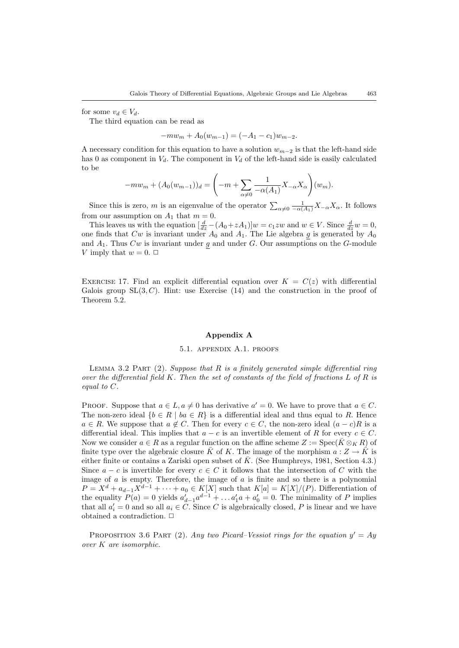for some  $v_d \in V_d$ .

The third equation can be read as

 $-mw_m + A_0(w_{m-1}) = (-A_1 - c_1)w_{m-2}.$ 

A necessary condition for this equation to have a solution  $w_{m-2}$  is that the left-hand side has 0 as component in  $V_d$ . The component in  $V_d$  of the left-hand side is easily calculated to be

$$
-mw_m + (A_0(w_{m-1}))_d = \left(-m + \sum_{\alpha \neq 0} \frac{1}{-\alpha(A_1)} X_{-\alpha} X_{\alpha}\right)(w_m).
$$

Since this is zero, m is an eigenvalue of the operator  $\sum_{\alpha\neq 0} \frac{1}{-\alpha(A_1)} X_{-\alpha} X_{\alpha}$ . It follows from our assumption on  $A_1$  that  $m = 0$ .

This leaves us with the equation  $\left[\frac{d}{dz} - (A_0 + zA_1)\right]w = c_1zw$  and  $w \in V$ . Since  $\frac{d}{dz}w = 0$ , one finds that  $Cw$  is invariant under  $A_0$  and  $A_1$ . The Lie algebra g is generated by  $A_0$ and  $A_1$ . Thus  $Cw$  is invariant under g and under G. Our assumptions on the G-module V imply that  $w = 0$ .  $\Box$ 

EXERCISE 17. Find an explicit differential equation over  $K = C(z)$  with differential Galois group  $SL(3, C)$ . Hint: use Exercise [\(14\)](#page-18-1) and the construction in the proof of Theorem [5.2.](#page-21-0)

## Appendix A

#### 5.1. appendix A.1. proofs

LEMMA [3.2](#page-6-1) PART  $(2)$ . Suppose that R is a finitely generated simple differential ring over the differential field K. Then the set of constants of the field of fractions  $L$  of  $R$  is equal to C.

PROOF. Suppose that  $a \in L$ ,  $a \neq 0$  has derivative  $a' = 0$ . We have to prove that  $a \in C$ . The non-zero ideal  $\{b \in R \mid ba \in R\}$  is a differential ideal and thus equal to R. Hence  $a \in R$ . We suppose that  $a \notin C$ . Then for every  $c \in C$ , the non-zero ideal  $(a - c)R$  is a differential ideal. This implies that  $a - c$  is an invertible element of R for every  $c \in C$ . Now we consider  $a \in R$  as a regular function on the affine scheme  $Z := \operatorname{Spec}(\bar{K} \otimes_K R)$  of finite type over the algebraic closure  $\bar{K}$  of K. The image of the morphism  $a: Z \to \bar{K}$  is either finite or contains a Zariski open subset of  $\bar{K}$ . (See Humphreys, 1981, Section 4.3.) Since  $a - c$  is invertible for every  $c \in C$  it follows that the intersection of C with the image of  $a$  is empty. Therefore, the image of  $a$  is finite and so there is a polynomial  $P = X^d + a_{d-1}X^{d-1} + \cdots + a_0 \in K[X]$  such that  $K[a] = K[X]/(P)$ . Differentiation of the equality  $P(a) = 0$  yields  $a'_{d-1}a^{d-1} + \ldots a'_1a + a'_0 = 0$ . The minimality of P implies that all  $a'_i = 0$  and so all  $a_i \in C$ . Since C is algebraically closed, P is linear and we have obtained a contradiction.  $\Box$ 

PROPOSITION [3.6](#page-7-1) PART (2). Any two Picard–Vessiot rings for the equation  $y' = Ay$ over K are isomorphic.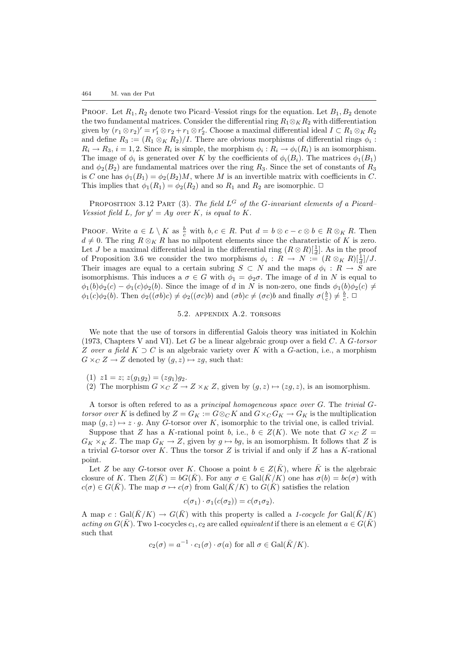PROOF. Let  $R_1, R_2$  denote two Picard–Vessiot rings for the equation. Let  $B_1, B_2$  denote the two fundamental matrices. Consider the differential ring  $R_1 \otimes_R R_2$  with differentiation given by  $(r_1 \otimes r_2)' = r'_1 \otimes r_2 + r_1 \otimes r'_2$ . Choose a maximal differential ideal  $I \subset R_1 \otimes_K R_2$ and define  $R_3 := (R_1 \otimes_K R_2)/I$ . There are obvious morphisms of differential rings  $\phi_i$ :  $R_i \to R_3$ ,  $i = 1, 2$ . Since  $R_i$  is simple, the morphism  $\phi_i : R_i \to \phi_i(R_i)$  is an isomorphism. The image of  $\phi_i$  is generated over K by the coefficients of  $\phi_i(B_i)$ . The matrices  $\phi_1(B_1)$ and  $\phi_2(B_2)$  are fundamental matrices over the ring  $R_3$ . Since the set of constants of  $R_3$ is C one has  $\phi_1(B_1) = \phi_2(B_2)M$ , where M is an invertible matrix with coefficients in C. This implies that  $\phi_1(R_1) = \phi_2(R_2)$  and so  $R_1$  and  $R_2$  are isomorphic.  $\Box$ 

PROPOSITION [3.12](#page-10-0) PART (3). The field  $L^G$  of the G-invariant elements of a Picard-Vessiot field L, for  $y' = Ay$  over K, is equal to K.

PROOF. Write  $a \in L \setminus K$  as  $\frac{b}{c}$  with  $b, c \in R$ . Put  $d = b \otimes c - c \otimes b \in R \otimes_K R$ . Then  $d \neq 0$ . The ring  $R \otimes_K R$  has no nilpotent elements since the charateristic of K is zero. Let *J* be a maximal differential ideal in the differential ring  $(R \otimes R)[\frac{1}{d}]$ . As in the proof of Proposition [3.6](#page-7-1) we consider the two morphisms  $\phi_i: R \to N := (R \otimes_K R)[\frac{1}{d}]/J$ . Their images are equal to a certain subring  $S \subset N$  and the maps  $\phi_i : R \to \widetilde{S}$  are isomorphisms. This induces a  $\sigma \in G$  with  $\phi_1 = \phi_2 \sigma$ . The image of d in N is equal to  $\phi_1(b)\phi_2(c) - \phi_1(c)\phi_2(b)$ . Since the image of d in N is non-zero, one finds  $\phi_1(b)\phi_2(c) \neq$  $\phi_1(c)\phi_2(b)$ . Then  $\phi_2((\sigma b)c) \neq \phi_2((\sigma c)b)$  and  $(\sigma b)c \neq (\sigma c)b$  and finally  $\sigma(\frac{b}{c}) \neq \frac{b}{c}$ .

### 5.2. appendix A.2. torsors

We note that the use of torsors in differential Galois theory was initiated in [Kolchin](#page-32-0) [\(1973,](#page-32-0) Chapters V and VI). Let G be a linear algebraic group over a field  $C$ . A  $G\text{-}torsor$ Z over a field  $K \supset C$  is an algebraic variety over K with a G-action, i.e., a morphism  $G \times_C Z \to Z$  denoted by  $(g, z) \mapsto zg$ , such that:

- (1)  $z1 = z$ ;  $z(g_1g_2) = (zg_1)g_2$ .
- (2) The morphism  $G \times_C Z \to Z \times_K Z$ , given by  $(g, z) \mapsto (zg, z)$ , is an isomorphism.

A torsor is often refered to as a principal homogeneous space over G. The trivial Gtorsor over K is defined by  $Z = G_K := G \otimes_C K$  and  $G \times_C G_K \to G_K$  is the multiplication map  $(g, z) \mapsto z \cdot g$ . Any G-torsor over K, isomorphic to the trivial one, is called trivial.

Suppose that Z has a K-rational point b, i.e.,  $b \in Z(K)$ . We note that  $G \times_C Z =$  $G_K \times_K Z$ . The map  $G_K \to Z$ , given by  $g \mapsto bg$ , is an isomorphism. It follows that Z is a trivial G-torsor over K. Thus the torsor  $Z$  is trivial if and only if  $Z$  has a K-rational point.

Let Z be any G-torsor over K. Choose a point  $b \in Z(\overline{K})$ , where  $\overline{K}$  is the algebraic closure of K. Then  $Z(\overline{K}) = bG(\overline{K})$ . For any  $\sigma \in \text{Gal}(\overline{K}/K)$  one has  $\sigma(b) = bc(\sigma)$  with  $c(\sigma) \in G(\bar{K})$ . The map  $\sigma \mapsto c(\sigma)$  from  $Gal(\bar{K}/K)$  to  $G(\bar{K})$  satisfies the relation

$$
c(\sigma_1) \cdot \sigma_1(c(\sigma_2)) = c(\sigma_1 \sigma_2).
$$

A map c : Gal( $\bar{K}/K$ )  $\rightarrow G(\bar{K})$  with this property is called a 1-cocycle for Gal( $\bar{K}/K$ ) acting on  $G(\overline{K})$ . Two 1-cocycles  $c_1, c_2$  are called *equivalent* if there is an element  $a \in G(\overline{K})$ such that

$$
c_2(\sigma) = a^{-1} \cdot c_1(\sigma) \cdot \sigma(a)
$$
 for all  $\sigma \in \text{Gal}(\bar{K}/K)$ .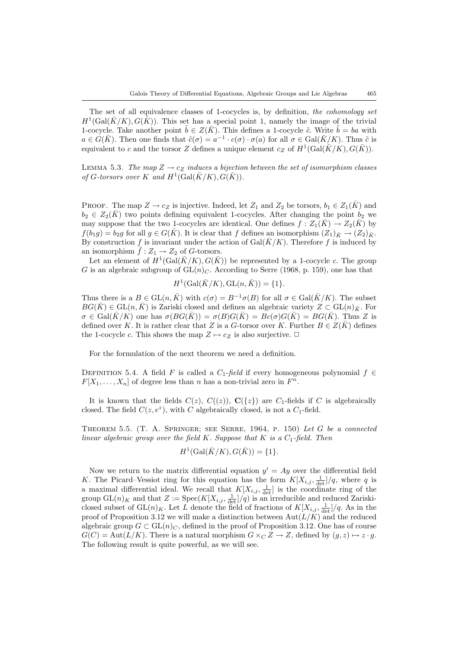The set of all equivalence classes of 1-cocycles is, by definition, the cohomology set  $H^1(\text{Gal}(\bar K/K), G(\bar K))$ . This set has a special point 1, namely the image of the trivial 1-cocycle. Take another point  $\tilde{b} \in Z(\bar{K})$ . This defines a 1-cocycle  $\tilde{c}$ . Write  $\tilde{b} = ba$  with  $a \in \check{G}(\bar{K})$ . Then one finds that  $\tilde{c}(\sigma) = a^{-1} \cdot c(\sigma) \cdot \sigma(a)$  for all  $\sigma \in \text{Gal}(\bar{K}/K)$ . Thus  $\tilde{c}$  is equivalent to c and the torsor Z defines a unique element  $c_Z$  of  $H^1(\text{Gal}(\overline{K}/K), G(\overline{K}))$ .

LEMMA 5.3. The map  $Z \rightarrow c_Z$  induces a bijection between the set of isomorphism classes of G-torsors over K and  $H^1(\text{Gal}(\bar{K}/K), \tilde{G}(\bar{K})).$ 

PROOF. The map  $Z \to c_Z$  is injective. Indeed, let  $Z_1$  and  $Z_2$  be torsors,  $b_1 \in Z_1(\overline{K})$  and  $b_2 \in Z_2(\bar{K})$  two points defining equivalent 1-cocycles. After changing the point  $b_2$  we may suppose that the two 1-cocycles are identical. One defines  $f : Z_1(\bar{K}) \to Z_2(\bar{K})$  by  $f(b_1g) = b_2g$  for all  $g \in G(\overline{K})$ . It is clear that f defines an isomorphism  $(Z_1)_{\overline{K}} \to (Z_2)_{\overline{K}}$ . By construction f is invariant under the action of  $Gal(\bar{K}/K)$ . Therefore f is induced by an isomorphism  $\tilde{f}: Z_1 \to Z_2$  of G-torsors.

Let an element of  $H^1(\text{Gal}(\bar{K}/K), G(\bar{K}))$  be represented by a 1-cocycle c. The group G is an algebraic subgroup of  $GL(n)<sub>C</sub>$ . According to Serre (1968, p. 159), one has that

$$
H^1(\text{Gal}(\bar{K}/K), \text{GL}(n, \bar{K})) = \{1\}.
$$

Thus there is a  $B \in GL(n,\overline{K})$  with  $c(\sigma) = B^{-1}\sigma(B)$  for all  $\sigma \in Gal(\overline{K}/K)$ . The subset  $BG(\overline{K}) \in GL(n,\overline{K})$  is Zariski closed and defines an algebraic variety  $Z \subset GL(n)_{\overline{K}}$ . For  $\sigma \in \text{Gal}(\bar{K}/K)$  one has  $\sigma(BG(\bar{K})) = \sigma(B)G(\bar{K}) = Bc(\sigma)G(\bar{K}) = BG(\bar{K})$ . Thus Z is defined over K. It is rather clear that Z is a G-torsor over K. Further  $B \in Z(K)$  defines the 1-cocycle c. This shows the map  $Z \mapsto c_Z$  is also surjective.  $\Box$ 

For the formulation of the next theorem we need a definition.

DEFINITION 5.4. A field F is called a  $C_1$ -field if every homogeneous polynomial  $f \in$  $F[X_1, \ldots, X_n]$  of degree less than n has a non-trivial zero in  $F^n$ .

It is known that the fields  $C(z)$ ,  $C((z))$ ,  $C({z})$  are  $C_1$ -fields if C is algebraically closed. The field  $C(z, e^z)$ , with C algebraically closed, is not a  $C_1$ -field.

THEOREM 5.5. (T. A. SPRINGER; SEE SERRE,  $1964$ , P. 150) Let G be a connected linear algebraic group over the field K. Suppose that K is a  $C_1$ -field. Then

$$
H^1(\text{Gal}(\bar{K}/K), G(\bar{K})) = \{1\}.
$$

<span id="page-24-0"></span>Now we return to the matrix differential equation  $y' = Ay$  over the differential field K. The Picard–Vessiot ring for this equation has the form  $K[X_{i,j}, \frac{1}{\det}]/q$ , where q is a maximal differential ideal. We recall that  $K[X_{i,j}, \frac{1}{\det}]$  is the coordinate ring of the group  $GL(n)_K$  and that  $Z := Spec(K[X_{i,j}, \frac{1}{\det}]/q)$  is an irreducible and reduced Zariskiclosed subset of  $GL(n)_K$ . Let L denote the field of fractions of  $K[X_{i,j}, \frac{1}{\det}]/q$ . As in the proof of Proposition [3.12](#page-10-0) we will make a distinction between  $\text{Aut}(L/K)$  and the reduced algebraic group  $G \subset GL(n)<sub>C</sub>$ , defined in the proof of Proposition [3.12](#page-10-0). One has of course  $G(C) = \text{Aut}(L/K)$ . There is a natural morphism  $G \times_C Z \to Z$ , defined by  $(g, z) \mapsto z \cdot g$ . The following result is quite powerful, as we will see.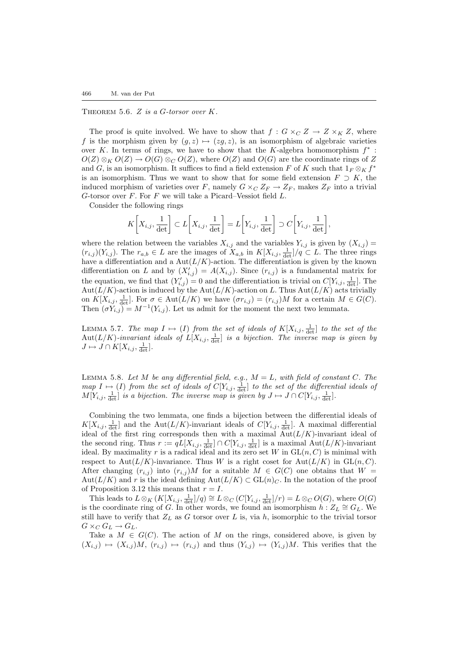THEOREM 5.6.  $Z$  is a G-torsor over  $K$ .

The proof is quite involved. We have to show that  $f: G \times_C Z \to Z \times_K Z$ , where f is the morphism given by  $(g, z) \mapsto (zg, z)$ , is an isomorphism of algebraic varieties over K. In terms of rings, we have to show that the K-algebra homomorphism  $f^*$ :  $O(Z) \otimes_K O(Z) \to O(G) \otimes_C O(Z)$ , where  $O(Z)$  and  $O(G)$  are the coordinate rings of Z and G, is an isomorphism. It suffices to find a field extension F of K such that  $1_F \otimes_K f^*$ is an isomorphism. Thus we want to show that for some field extension  $F \supset K$ , the induced morphism of varieties over F, namely  $G \times_C Z_F \to Z_F$ , makes  $Z_F$  into a trivial G-torsor over  $F$ . For  $F$  we will take a Picard–Vessiot field  $L$ .

Consider the following rings

$$
K\bigg[X_{i,j}, \frac{1}{\det}\bigg] \subset L\bigg[X_{i,j}, \frac{1}{\det}\bigg] = L\bigg[Y_{i,j}, \frac{1}{\det}\bigg] \supset C\bigg[Y_{i,j}, \frac{1}{\det}\bigg],
$$

where the relation between the variables  $X_{i,j}$  and the variables  $Y_{i,j}$  is given by  $(X_{i,j})$  $(r_{i,j})(Y_{i,j})$ . The  $r_{a,b} \in L$  are the images of  $X_{a,b}$  in  $K[X_{i,j}, \frac{1}{\det}]/q \subset L$ . The three rings have a differentiation and a  $Aut(L/K)$ -action. The differentiation is given by the known differentiation on L and by  $(X_{i,j}^{\prime}) = A(X_{i,j})$ . Since  $(r_{i,j})$  is a fundamental matrix for the equation, we find that  $(Y'_{i,j}) = 0$  and the differentiation is trivial on  $C[Y_{i,j}, \frac{1}{\det}]$ . The Aut $(L/K)$ -action is induced by the Aut $(L/K)$ -action on L. Thus Aut $(L/K)$  acts trivially on  $K[X_{i,j}, \frac{1}{\det}]$ . For  $\sigma \in \text{Aut}(L/K)$  we have  $(\sigma r_{i,j}) = (r_{i,j})M$  for a certain  $M \in G(C)$ . Then  $(\sigma Y_{i,j}) = M^{-1}(Y_{i,j})$ . Let us admit for the moment the next two lemmata.

<span id="page-25-1"></span>LEMMA 5.7. The map  $I \mapsto (I)$  from the set of ideals of  $K[X_{i,j}, \frac{1}{\det}]$  to the set of the  $\text{Aut}(L/K)$ -invariant ideals of  $L[X_{i,j}, \frac{1}{\det}]$  is a bijection. The inverse map is given by  $J \mapsto J \cap K[X_{i,j}, \frac{1}{\det}].$ 

<span id="page-25-0"></span>LEMMA 5.8. Let M be any differential field, e.g.,  $M = L$ , with field of constant C. The map  $I \mapsto (I)$  from the set of ideals of  $C[Y_{i,j}, \frac{1}{\det}]$  to the set of the differential ideals of  $M[Y_{i,j}, \frac{1}{\det}]$  is a bijection. The inverse map is given by  $J \mapsto J \cap C[Y_{i,j}, \frac{1}{\det}].$ 

Combining the two lemmata, one finds a bijection between the differential ideals of  $K[X_{i,j}, \frac{1}{\det}]$  and the Aut $(L/K)$ -invariant ideals of  $C[Y_{i,j}, \frac{1}{\det}]$ . A maximal differential ideal of the first ring corresponds then with a maximal  $\text{Aut}(L/K)$ -invariant ideal of the second ring. Thus  $r := qL[X_{i,j}, \frac{1}{\det}] \cap C[Y_{i,j}, \frac{1}{\det}]$  is a maximal  $\text{Aut}(L/K)$ -invariant ideal. By maximality r is a radical ideal and its zero set W in  $GL(n, C)$  is minimal with respect to Aut $(L/K)$ -invariance. Thus W is a right coset for Aut $(L/K)$  in  $GL(n, C)$ . After changing  $(r_{i,j})$  into  $(r_{i,j})M$  for a suitable  $M \in G(C)$  one obtains that  $W =$ Aut( $L/K$ ) and r is the ideal defining  $Aut(L/K) \subset GL(n)<sub>C</sub>$ . In the notation of the proof of Proposition [3.12](#page-10-0) this means that  $r = I$ .

This leads to  $L \otimes_K (K[X_{i,j}, \frac{1}{\det}]/q) \cong L \otimes_C (C[Y_{i,j}, \frac{1}{\det}]/r) = L \otimes_C O(G)$ , where  $O(G)$ is the coordinate ring of G. In other words, we found an isomorphism  $h : Z_L \cong G_L$ . We still have to verify that  $Z_L$  as G torsor over L is, via h, isomorphic to the trivial torsor  $G \times_C G_L \to G_L$ .

Take a  $M \in G(C)$ . The action of M on the rings, considered above, is given by  $(X_{i,j}) \mapsto (X_{i,j})M$ ,  $(r_{i,j}) \mapsto (r_{i,j})$  and thus  $(Y_{i,j}) \mapsto (Y_{i,j})M$ . This verifies that the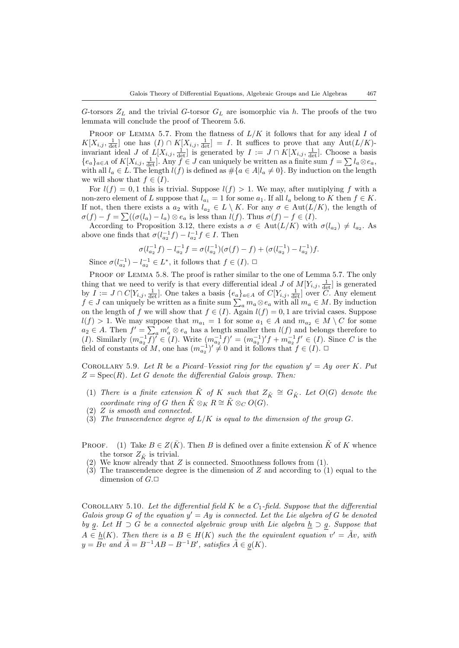G-torsors  $Z_L$  and the trivial G-torsor  $G_L$  are isomorphic via h. The proofs of the two lemmata will conclude the proof of Theorem [5.6.](#page-24-0)

PROOF OF LEMMA [5.7.](#page-25-1) From the flatness of  $L/K$  it follows that for any ideal I of  $K[X_{i,j}, \frac{1}{\det}]$  one has  $(I) \cap K[X_{i,j}, \frac{1}{\det}] = I$ . It suffices to prove that any  $\mathrm{Aut}(L/K)$ invariant ideal J of  $L[X_{i,j}, \frac{1}{\det}]$  is generated by  $I := J \cap K[X_{i,j}, \frac{1}{\det}]$ . Choose a basis  ${e_a}_{a\in A}$  of  $K[X_{i,j}, \frac{1}{\det}]$ . Any  $f \in J$  can uniquely be written as a finite sum  $f = \sum l_a \otimes e_a$ , with all  $l_a \in L$ . The length  $l(f)$  is defined as  $\#\{a \in A | l_a \neq 0\}$ . By induction on the length we will show that  $f \in (I)$ .

For  $l(f) = 0, 1$  this is trivial. Suppose  $l(f) > 1$ . We may, after mutiplying f with a non-zero element of L suppose that  $l_{a_1} = 1$  for some  $a_1$ . If all  $l_a$  belong to K then  $f \in K$ . If not, then there exists a  $a_2$  with  $l_{a_2} \in L \setminus K$ . For any  $\sigma \in Aut(L/K)$ , the length of  $\sigma(f) - f = \sum ((\sigma(l_a) - l_a) \otimes e_a)$  is less than  $l(f)$ . Thus  $\sigma(f) - f \in (I)$ .

According to Proposition [3.12,](#page-10-0) there exists a  $\sigma \in \text{Aut}(L/K)$  with  $\sigma(l_{a_2}) \neq l_{a_2}$ . As above one finds that  $\sigma(l_{a_2}^{-1}f) - l_{a_2}^{-1}f \in I$ . Then

$$
\sigma(l_{a_2}^{-1}f) - l_{a_2}^{-1}f = \sigma(l_{a_2}^{-1})(\sigma(f) - f) + (\sigma(l_{a_2}^{-1}) - l_{a_2}^{-1})f.
$$

Since  $\sigma(l_{a_2}^{-1}) - l_{a_2}^{-1} \in L^*$ , it follows that  $f \in (I)$ .  $\Box$ 

PROOF OF LEMMA [5.8](#page-25-0). The proof is rather similar to the one of Lemma [5.7](#page-25-1). The only thing that we need to verify is that every differential ideal J of  $M[Y_{i,j}, \frac{1}{\det}]$  is generated by  $I := J \cap C[Y_{i,j}, \frac{1}{\det}]$ . One takes a basis  $\{e_a\}_{a \in A}$  of  $C[Y_{i,j}, \frac{1}{\det}]$  over C. Any element  $f \in J$  can uniquely be written as a finite sum  $\sum_a m_a \otimes e_a$  with all  $m_a \in M$ . By induction on the length of f we will show that  $f \in (I)$ . Again  $l(f) = 0, 1$  are trivial cases. Suppose  $l(f) > 1$ . We may suppose that  $m_{a_1} = 1$  for some  $a_1 \in A$  and  $m_{a_2} \in M \setminus C$  for some  $a_2 \in A$ . Then  $f' = \sum_a m'_a \otimes e_a$  has a length smaller then  $l(f)$  and belongs therefore to (*I*). Similarly  $(m_{a_2}^{-1}f)' \in (I)$ . Write  $(m_{a_2}^{-1}f)' = (m_{a_2}^{-1})'f + m_{a_2}^{-1}f' \in (I)$ . Since C is the field of constants of M, one has  $(m_{a_2}^{-1})' \neq 0$  and it follows that  $f \in (I)$ .

<span id="page-26-0"></span>COROLLARY 5.9. Let R be a Picard–Vessiot ring for the equation  $y' = Ay$  over K. Put  $Z = \text{Spec}(R)$ . Let G denote the differential Galois group. Then:

- (1) There is a finite extension  $\tilde{K}$  of K such that  $Z_{\tilde{K}} \cong G_{\tilde{K}}$ . Let  $O(G)$  denote the coordinate ring of G then  $\tilde{K} \otimes_K R \cong \tilde{K} \otimes_C O(G)$ .
- (2) Z is smooth and connected.
- (3) The transcendence degree of  $L/K$  is equal to the dimension of the group G.
- PROOF. (1) Take  $B \in Z(\overline{K})$ . Then B is defined over a finite extension  $\tilde{K}$  of K whence the torsor  $Z_{\tilde{K}}$  is trivial.
	- (2) We know already that  $Z$  is connected. Smoothness follows from  $(1)$ .
- (3) The transcendence degree is the dimension of Z and according to (1) equal to the dimension of  $G.\Box$

COROLLARY 5.10. Let the differential field  $K$  be a  $C_1$ -field. Suppose that the differential Galois group G of the equation  $y' = Ay$  is connected. Let the Lie algebra of G be denoted by g. Let  $H \supset G$  be a connected algebraic group with Lie algebra  $\underline{h} \supset g$ . Suppose that  $A \in \underline{h}(K)$ . Then there is a  $B \in H(K)$  such the the equivalent equation  $v' = \tilde{A}v$ , with  $y = Bv$  and  $\tilde{A} = B^{-1}AB - B^{-1}B'$ , satisfies  $\tilde{A} \in g(K)$ .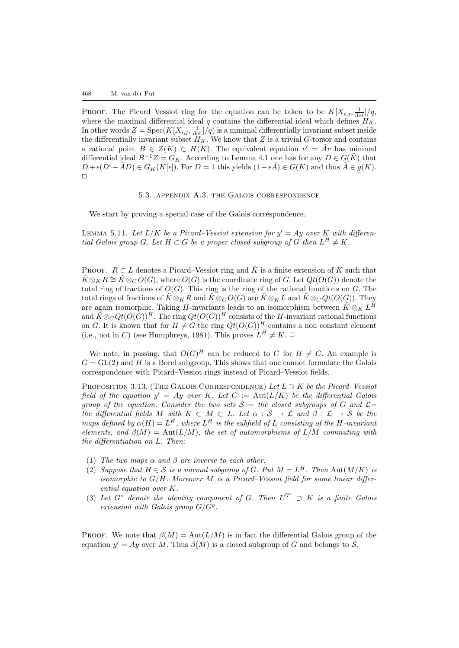PROOF. The Picard–Vessiot ring for the equation can be taken to be  $K[X_{i,j}, \frac{1}{\det}]/q$ , where the maximal differential ideal  $q$  contains the differential ideal which defines  $H_K$ . In other words  $Z = \text{Spec}(K[X_{i,j}, \frac{1}{\det}]/q)$  is a minimal differentially invariant subset inside the differentially invariant subset  $H_K$ . We know that Z is a trivial G-torsor and contains a rational point  $B \in Z(K) \subset H(K)$ . The equivalent equation  $v' = Av$  has minimal differential ideal  $B^{-1}Z = G_K$ . According to Lemma [4.1](#page-15-0) one has for any  $D \in G(\overline{K})$  that  $D + \epsilon(D' - \tilde{A}D) \in G_K(\bar{K}[\epsilon])$ . For  $D = 1$  this yields  $(1 - \epsilon \tilde{A}) \in G(K)$  and thus  $\tilde{A} \in g(K)$ .  $\Box$ 

5.3. appendix A.3. the Galois correspondence

We start by proving a special case of the Galois correspondence.

LEMMA 5.11. Let  $L/K$  be a Picard–Vessiot extension for  $y' = Ay$  over K with differential Galois group G. Let  $H \subset G$  be a proper closed subgroup of G then  $L^H \neq K$ .

PROOF.  $R \subset L$  denotes a Picard–Vessiot ring and  $\tilde{K}$  is a finite extension of K such that  $\tilde{K} \otimes_K R \cong \tilde{K} \otimes_C O(G)$ , where  $O(G)$  is the coordinate ring of G. Let  $Qt(O(G))$  denote the total ring of fractions of  $O(G)$ . This ring is the ring of the rational functions on G. The total rings of fractions of  $\tilde{K} \otimes_K R$  and  $\tilde{K} \otimes_C O(G)$  are  $\tilde{K} \otimes_K L$  and  $\tilde{K} \otimes_C Qt(O(G))$ . They are again isomorphic. Taking H-invariants leads to an isomorphism between  $\tilde{K} \otimes_K L^H$ and  $\tilde{K} \otimes_C Qt(O(G))^H$ . The ring  $Qt(O(G))^H$  consists of the H-invariant rational functions on G. It is known that for  $H \neq G$  the ring  $Qt(O(G))^H$  contains a non constant element (i.e., not in C) (see Humphreys, 1981). This proves  $L^H \neq K$ .

We note, in passing, that  $O(G)^H$  can be reduced to C for  $H \neq G$ . An example is  $G = GL(2)$  and H is a Borel subgroup. This shows that one cannot formulate the Galois correspondence with Picard–Vessiot rings instead of Picard–Vessiot fields.

PROPOSITION [3.13](#page-11-0). (THE GALOIS CORRESPONDENCE) Let  $L \supset K$  be the Picard–Vessiot field of the equation  $y' = Ay$  over K. Let  $G := \text{Aut}(L/K)$  be the differential Galois group of the equation. Consider the two sets  $S =$  the closed subgroups of G and  $\mathcal{L} =$ the differential fields M with  $K \subset M \subset L$ . Let  $\alpha : S \to \mathcal{L}$  and  $\beta : \mathcal{L} \to S$  be the maps defined by  $\alpha(H) = L^H$ , where  $L^H$  is the subfield of L consisting of the H-invariant elements, and  $\beta(M) = \text{Aut}(L/M)$ , the set of automorphisms of  $L/M$  commuting with the differentiation on L. Then:

- (1) The two maps  $\alpha$  and  $\beta$  are inverse to each other.
- (2) Suppose that  $H \in \mathcal{S}$  is a normal subgroup of G. Put  $M = L^H$ . Then Aut $(M/K)$  is isomorphic to  $G/H$ . Moreover M is a Picard–Vessiot field for some linear differential equation over K.
- (3) Let  $G^o$  denote the identity component of G. Then  $L^{G^o} \supset K$  is a finite Galois extension with Galois group  $G/G^o$ .

PROOF. We note that  $\beta(M) = \text{Aut}(L/M)$  is in fact the differential Galois group of the equation  $y' = Ay$  over M. Thus  $\beta(M)$  is a closed subgroup of G and belongs to S.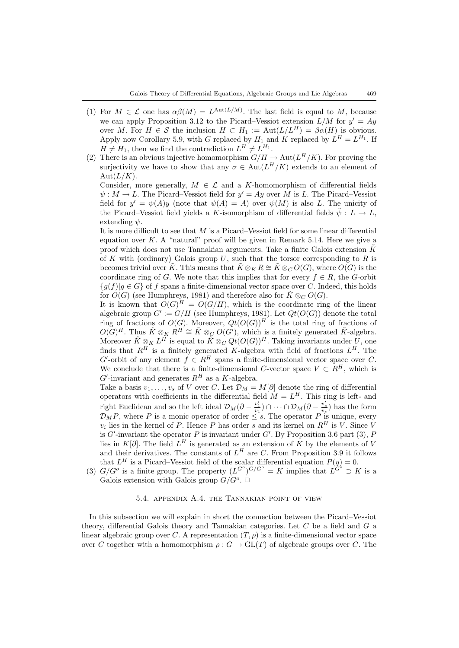- (1) For  $M \in \mathcal{L}$  one has  $\alpha\beta(M) = L^{\text{Aut}(L/M)}$ . The last field is equal to M, because we can apply Proposition [3.12](#page-10-0) to the Picard–Vessiot extension  $L/M$  for  $y' = Ay$ over M. For  $H \in \mathcal{S}$  the inclusion  $H \subset H_1 := \text{Aut}(L/L^H) = \beta \alpha(H)$  is obvious. Apply now Corollary [5.9,](#page-26-0) with G replaced by  $H_1$  and K replaced by  $L^H = L^{H_1}$ . If  $H \neq H_1$ , then we find the contradiction  $L^H \neq L^{H_1}$ .
- (2) There is an obvious injective homomorphism  $G/H \to \text{Aut}(L^H/K)$ . For proving the surjectivity we have to show that any  $\sigma \in Aut(L^H/K)$  extends to an element of  $Aut(L/K).$

Consider, more generally,  $M \in \mathcal{L}$  and a K-homomorphism of differential fields  $\psi : M \to L$ . The Picard–Vessiot field for  $y' = Ay$  over M is L. The Picard–Vessiot field for  $y' = \psi(A)y$  (note that  $\psi(A) = A$ ) over  $\psi(M)$  is also L. The unicity of the Picard–Vessiot field yields a K-isomorphism of differential fields  $\tilde{\psi}: L \to L$ , extending  $\psi$ .

It is more difficult to see that M is a Picard–Vessiot field for some linear differential equation over  $K$ . A "natural" proof will be given in Remark [5.14](#page-30-0). Here we give a proof which does not use Tannakian arguments. Take a finite Galois extension  $\tilde{K}$ of K with (ordinary) Galois group U, such that the torsor corresponding to R is becomes trivial over  $\tilde{K}$ . This means that  $\tilde{K} \otimes_K R \cong \tilde{K} \otimes_C O(G)$ , where  $O(G)$  is the coordinate ring of G. We note that this implies that for every  $f \in R$ , the G-orbit  ${q(f)|q \in G}$  of f spans a finite-dimensional vector space over C. Indeed, this holds for  $O(G)$  (see Humphreys, 1981) and therefore also for  $\tilde{K} \otimes_C O(G)$ .

It is known that  $O(G)^H = O(G/H)$ , which is the coordinate ring of the linear algebraic group  $G' := G/H$  (see Humphreys, 1981). Let  $Qt(O(G))$  denote the total ring of fractions of  $O(G)$ . Moreover,  $Qt(O(G))$ <sup>H</sup> is the total ring of fractions of  $O(G)^H$ . Thus  $\tilde{K} \otimes_K R^H \cong \tilde{K} \otimes_C O(G')$ , which is a finitely generated  $\tilde{K}$ -algebra. Moreover  $\tilde{K} \otimes_K L^H$  is equal to  $\tilde{K} \otimes_C Qt(O(G))^H$ . Taking invariants under  $\tilde{U}$ , one finds that  $R^H$  is a finitely generated K-algebra with field of fractions  $L^H$ . The G'-orbit of any element  $f \in R^H$  spans a finite-dimensional vector space over C. We conclude that there is a finite-dimensional C-vector space  $V \subset R^H$ , which is  $G'$ -invariant and generates  $R^H$  as a K-algebra.

Take a basis  $v_1, \ldots, v_s$  of V over C. Let  $\mathcal{D}_M = M[\partial]$  denote the ring of differential operators with coefficients in the differential field  $M = L<sup>H</sup>$ . This ring is left- and right Euclidean and so the left ideal  $\mathcal{D}_M(\partial - \frac{v'_1}{v_1}) \cap \cdots \cap \mathcal{D}_M(\partial - \frac{v'_s}{v_s})$  has the form  $\mathcal{D}_M P$ , where P is a monic operator of order  $\leq s$ . The operator P is unique, every  $v_i$  lies in the kernel of P. Hence P has order s and its kernel on  $R^H$  is V. Since V is G'-invariant the operator P is invariant under G'. By Proposition [3.6](#page-7-1) part (3),  $P$ lies in K[∂]. The field  $L^H$  is generated as an extension of K by the elements of V and their derivatives. The constants of  $L^H$  are C. From Proposition [3.9](#page-8-0) it follows that  $L^H$  is a Picard–Vessiot field of the scalar differential equation  $P(y) = 0$ .

(3)  $G/G^{\circ}$  is a finite group. The property  $(L^{G^{\circ}})^{G/G^{\circ}} = K$  implies that  $L^{G^{\circ}} \supset K$  is a Galois extension with Galois group  $G/G^o$ .

#### 5.4. appendix A.4. the Tannakian point of view

In this subsection we will explain in short the connection between the Picard–Vessiot theory, differential Galois theory and Tannakian categories. Let C be a field and G a linear algebraic group over C. A representation  $(T, \rho)$  is a finite-dimensional vector space over C together with a homomorphism  $\rho: G \to GL(T)$  of algebraic groups over C. The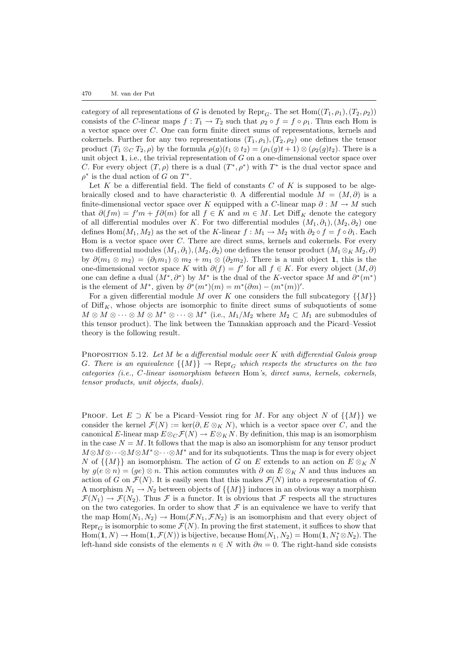category of all representations of G is denoted by  $\text{Repr}_G$ . The set  $\text{Hom}((T_1,\rho_1),(T_2,\rho_2))$ consists of the C-linear maps  $f: T_1 \to T_2$  such that  $\rho_2 \circ f = f \circ \rho_1$ . Thus each Hom is a vector space over C. One can form finite direct sums of representations, kernels and cokernels. Further for any two representations  $(T_1, \rho_1), (T_2, \rho_2)$  one defines the tensor product  $(T_1 \otimes_C T_2, \rho)$  by the formula  $\rho(g)(t_1 \otimes t_2) = (\rho_1(g)t_1 + 1) \otimes (\rho_2(g)t_2)$ . There is a unit object  $1$ , i.e., the trivial representation of G on a one-dimensional vector space over C. For every object  $(T, \rho)$  there is a dual  $(T^*, \rho^*)$  with  $T^*$  is the dual vector space and  $\rho^*$  is the dual action of G on  $T^*$ .

Let  $K$  be a differential field. The field of constants  $C$  of  $K$  is supposed to be algebraically closed and to have characteristic 0. A differential module  $M = (M, \partial)$  is a finite-dimensional vector space over K equipped with a C-linear map  $\partial : M \to M$  such that  $\partial(f_m) = f'm + f\partial(m)$  for all  $f \in K$  and  $m \in M$ . Let  $\text{Diff}_K$  denote the category of all differential modules over K. For two differential modules  $(M_1, \partial_1), (M_2, \partial_2)$  one defines Hom $(M_1, M_2)$  as the set of the K-linear  $f : M_1 \to M_2$  with  $\partial_2 \circ f = f \circ \partial_1$ . Each Hom is a vector space over C. There are direct sums, kernels and cokernels. For every two differential modules  $(M_1, \partial_1), (M_2, \partial_2)$  one defines the tensor product  $(M_1 \otimes_K M_2, \partial)$ by  $\partial(m_1 \otimes m_2) = (\partial_1 m_1) \otimes m_2 + m_1 \otimes (\partial_2 m_2)$ . There is a unit object 1, this is the one-dimensional vector space K with  $\partial(f) = f'$  for all  $f \in K$ . For every object  $(M, \partial)$ one can define a dual  $(M^*, \partial^*)$  by  $M^*$  is the dual of the K-vector space M and  $\partial^*(m^*)$ is the element of  $M^*$ , given by  $\partial^*(m^*)(m) = m^*(\partial m) - (m^*(m))'.$ 

For a given differential module M over K one considers the full subcategory  $\{\{M\}\}\$ of  $\text{Diff}_K$ , whose objects are isomorphic to finite direct sums of subquotients of some  $M \otimes M \otimes \cdots \otimes M^* \otimes \cdots \otimes M^*$  (i.e.,  $M_1/M_2$  where  $M_2 \subset M_1$  are submodules of this tensor product). The link between the Tannakian approach and the Picard–Vessiot theory is the following result.

PROPOSITION 5.12. Let  $M$  be a differential module over  $K$  with differential Galois group G. There is an equivalence  $\{\{M\}\}\rightarrow{\rm Repr}_G$  which respects the structures on the two categories (i.e., C-linear isomorphism between Hom's, direct sums, kernels, cokernels, tensor products, unit objects, duals).

PROOF. Let  $E \supset K$  be a Picard–Vessiot ring for M. For any object N of  $\{\{M\}\}\$ we consider the kernel  $\mathcal{F}(N) := \ker(\partial, E \otimes_K N)$ , which is a vector space over C, and the canonical E-linear map  $E \otimes_C \mathcal{F}(N) \to E \otimes_K N$ . By definition, this map is an isomorphism in the case  $N = M$ . It follows that the map is also an isomorphism for any tensor product  $M \otimes M \otimes \cdots \otimes M^* \otimes M^*$  and for its subquotients. Thus the map is for every object N of  $\{M\}$  an isomorphism. The action of G on E extends to an action on  $E \otimes_K N$ by  $g(e \otimes n) = (ge) \otimes n$ . This action commutes with  $\partial$  on  $E \otimes_K N$  and thus induces an action of G on  $\mathcal{F}(N)$ . It is easily seen that this makes  $\mathcal{F}(N)$  into a representation of G. A morphism  $N_1 \to N_2$  between objects of  $\{\{M\}\}\$ induces in an obvious way a morphism  $\mathcal{F}(N_1) \to \mathcal{F}(N_2)$ . Thus F is a functor. It is obvious that F respects all the structures on the two categories. In order to show that  $\mathcal F$  is an equivalence we have to verify that the map  $\text{Hom}(N_1, N_2) \to \text{Hom}(\mathcal{F}N_1, \mathcal{F}N_2)$  is an isomorphism and that every object of Repr<sub>G</sub> is isomorphic to some  $\mathcal{F}(N)$ . In proving the first statement, it suffices to show that  $Hom(1, N) \to Hom(1, \mathcal{F}(N))$  is bijective, because  $Hom(N_1, N_2) = Hom(1, N_1^* \otimes N_2)$ . The left-hand side consists of the elements  $n \in N$  with  $\partial n = 0$ . The right-hand side consists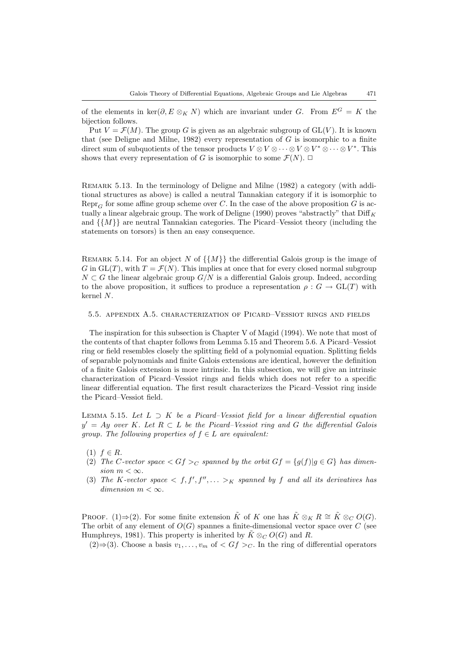of the elements in ker(∂, E ⊗<sub>K</sub> N) which are invariant under G. From  $E^G = K$  the bijection follows.

Put  $V = \mathcal{F}(M)$ . The group G is given as an algebraic subgroup of GL(V). It is known that (see Deligne and Milne, 1982) every representation of  $G$  is isomorphic to a finite direct sum of subquotients of the tensor products  $V \otimes V \otimes \cdots \otimes V \otimes V^* \otimes \cdots \otimes V^*$ . This shows that every representation of G is isomorphic to some  $\mathcal{F}(N)$ .  $\Box$ 

REMARK 5.13. In the terminology of Deligne and Milne (1982) a category (with additional structures as above) is called a neutral Tannakian category if it is isomorphic to Repr<sub>G</sub> for some affine group scheme over C. In the case of the above proposition G is actually a linear algebraic group. The work of Deligne (1990) proves "abstractly" that  $\text{Diff}_K$ and  $\{\{M\}\}\$ are neutral Tannakian categories. The Picard–Vessiot theory (including the statements on torsors) is then an easy consequence.

<span id="page-30-0"></span>REMARK 5.14. For an object N of  $\{M\}$  the differential Galois group is the image of G in GL(T), with  $T = \mathcal{F}(N)$ . This implies at once that for every closed normal subgroup  $N \subset G$  the linear algebraic group  $G/N$  is a differential Galois group. Indeed, according to the above proposition, it suffices to produce a representation  $\rho: G \to \text{GL}(T)$  with kernel N.

## 5.5. appendix A.5. characterization of Picard–Vessiot rings and fields

The inspiration for this subsection is Chapter V of Magid (1994). We note that most of the contents of that chapter follows from Lemma [5.15](#page-30-1) and Theorem [5.6](#page-24-0). A Picard–Vessiot ring or field resembles closely the splitting field of a polynomial equation. Splitting fields of separable polynomials and finite Galois extensions are identical, however the definition of a finite Galois extension is more intrinsic. In this subsection, we will give an intrinsic characterization of Picard–Vessiot rings and fields which does not refer to a specific linear differential equation. The first result characterizes the Picard–Vessiot ring inside the Picard–Vessiot field.

<span id="page-30-1"></span>LEMMA 5.15. Let  $L \supset K$  be a Picard–Vessiot field for a linear differential equation  $y' = Ay$  over K. Let  $R \subset L$  be the Picard–Vessiot ring and G the differential Galois group. The following properties of  $f \in L$  are equivalent:

- $(1)$   $f \in R$ .
- (2) The C-vector space  $\langle Gf \rangle_C$  spanned by the orbit  $Gf = \{q(f) | q \in G\}$  has dimension  $m < \infty$ .
- (3) The K-vector space  $\langle f, f', f'', \ldots \rangle_K$  spanned by f and all its derivatives has dimension  $m < \infty$ .

PROOF. (1)⇒(2). For some finite extension  $\tilde{K}$  of K one has  $\tilde{K} \otimes_K R \cong \tilde{K} \otimes_C O(G)$ . The orbit of any element of  $O(G)$  spannes a finite-dimensional vector space over C (see Humphreys, 1981). This property is inherited by  $\tilde{K} \otimes_C O(G)$  and R.

(2)⇒(3). Choose a basis  $v_1, \ldots, v_m$  of  $\langle Gf \rangle_C$ . In the ring of differential operators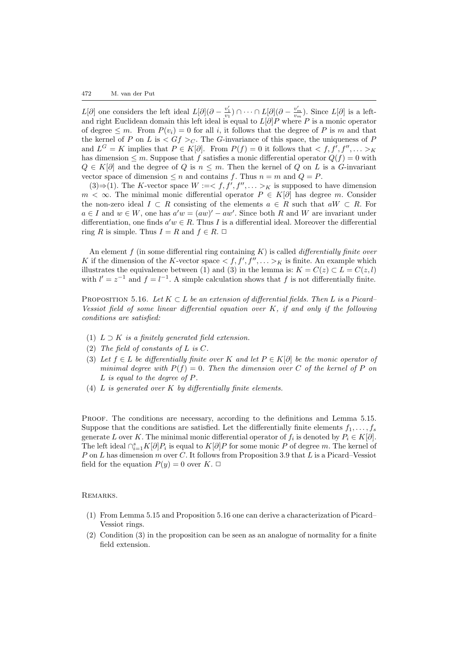$L[\partial]$  one considers the left ideal  $L[\partial](\partial - \frac{v'_1}{v_1}) \cap \cdots \cap L[\partial](\partial - \frac{v'_m}{v_m})$ . Since  $L[\partial]$  is a leftand right Euclidean domain this left ideal is equal to  $L[\partial]P$  where P is a monic operator of degree  $\leq m$ . From  $P(v_i) = 0$  for all i, it follows that the degree of P is m and that the kernel of P on L is  $\langle Gf \rangle_C$ . The G-invariance of this space, the uniqueness of P and  $L^G = K$  implies that  $P \in K[\partial]$ . From  $P(f) = 0$  it follows that  $\langle f, f', f'', \dots \rangle_K$ has dimension  $\leq m$ . Suppose that f satisfies a monic differential operator  $Q(f) = 0$  with  $Q \in K[\partial]$  and the degree of Q is  $n \leq m$ . Then the kernel of Q on L is a G-invariant vector space of dimension  $\leq n$  and contains f. Thus  $n = m$  and  $Q = P$ .

 $(3) \Rightarrow (1)$ . The K-vector space  $W := \langle f, f', f'', \dots \rangle_K$  is supposed to have dimension  $m < \infty$ . The minimal monic differential operator  $P \in K[\partial]$  has degree m. Consider the non-zero ideal  $I \subset R$  consisting of the elements  $a \in R$  such that  $aW \subset R$ . For  $a \in I$  and  $w \in W$ , one has  $a'w = (aw)' - aw'$ . Since both R and W are invariant under differentiation, one finds  $a'w \in R$ . Thus I is a differential ideal. Moreover the differential ring R is simple. Thus  $I = R$  and  $f \in R$ .  $\Box$ 

An element f (in some differential ring containing  $K$ ) is called *differentially finite over* K if the dimension of the K-vector space  $\lt f, f', f'', \ldots \gt_K$  is finite. An example which illustrates the equivalence between (1) and (3) in the lemma is:  $K = C(z) \subset L = C(z, l)$ with  $l' = z^{-1}$  and  $f = l^{-1}$ . A simple calculation shows that f is not differentially finite.

<span id="page-31-0"></span>PROPOSITION 5.16. Let  $K \subset L$  be an extension of differential fields. Then L is a Picard– Vessiot field of some linear differential equation over  $K$ , if and only if the following conditions are satisfied:

- (1)  $L \supset K$  is a finitely generated field extension.
- (2) The field of constants of L is C.
- (3) Let  $f \in L$  be differentially finite over K and let  $P \in K[\partial]$  be the monic operator of minimal degree with  $P(f) = 0$ . Then the dimension over C of the kernel of P on L is equal to the degree of P.
- (4)  $L$  is generated over  $K$  by differentially finite elements.

PROOF. The conditions are necessary, according to the definitions and Lemma [5.15.](#page-30-1) Suppose that the conditions are satisfied. Let the differentially finite elements  $f_1, \ldots, f_s$ generate L over K. The minimal monic differential operator of  $f_i$  is denoted by  $P_i \in K[\partial]$ . The left ideal  $\bigcap_{i=1}^s K[\partial]P_i$  is equal to  $K[\partial]P$  for some monic P of degree m. The kernel of P on L has dimension m over C. It follows from Proposition [3.9](#page-8-0) that L is a Picard–Vessiot field for the equation  $P(y) = 0$  over  $K$ .  $\Box$ 

REMARKS.

- (1) From Lemma [5.15](#page-30-1) and Proposition [5.16](#page-31-0) one can derive a characterization of Picard– Vessiot rings.
- (2) Condition (3) in the proposition can be seen as an analogue of normality for a finite field extension.